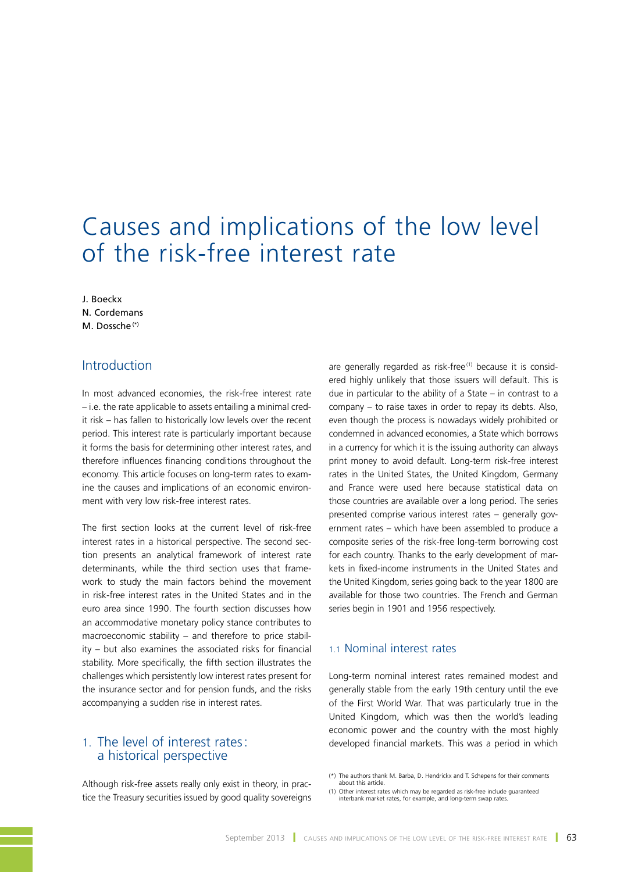# Causes and implications of the low level of the risk-free interest rate

J. Boeckx N. Cordemans M. Dossche<sup>(\*)</sup>

# Introduction

In most advanced economies, the risk-free interest rate – i.e. the rate applicable to assets entailing a minimal credit risk – has fallen to historically low levels over the recent period. This interest rate is particularly important because it forms the basis for determining other interest rates, and therefore influences financing conditions throughout the economy. This article focuses on long-term rates to examine the causes and implications of an economic environment with very low risk-free interest rates.

The first section looks at the current level of risk-free interest rates in a historical perspective. The second section presents an analytical framework of interest rate determinants, while the third section uses that framework to study the main factors behind the movement in risk-free interest rates in the United States and in the euro area since 1990. The fourth section discusses how an accommodative monetary policy stance contributes to macroeconomic stability – and therefore to price stability – but also examines the associated risks for financial stability. More specifically, the fifth section illustrates the challenges which persistently low interest rates present for the insurance sector and for pension funds, and the risks accompanying a sudden rise in interest rates.

# 1. The level of interest rates: a historical perspective

Although risk-free assets really only exist in theory, in practice the Treasury securities issued by good quality sovereigns are generally regarded as risk-free<sup>(1)</sup> because it is considered highly unlikely that those issuers will default. This is due in particular to the ability of a State – in contrast to a company – to raise taxes in order to repay its debts. Also, even though the process is nowadays widely prohibited or condemned in advanced economies, a State which borrows in a currency for which it is the issuing authority can always print money to avoid default. Long-term risk-free interest rates in the United States, the United Kingdom, Germany and France were used here because statistical data on those countries are available over a long period. The series presented comprise various interest rates – generally government rates – which have been assembled to produce a composite series of the risk-free long-term borrowing cost for each country. Thanks to the early development of markets in fixed-income instruments in the United States and the United Kingdom, series going back to the year 1800 are available for those two countries. The French and German series begin in 1901 and 1956 respectively.

### 1.1 Nominal interest rates

Long-term nominal interest rates remained modest and generally stable from the early 19th century until the eve of the First World War. That was particularly true in the United Kingdom, which was then the world's leading economic power and the country with the most highly developed financial markets. This was a period in which

<sup>(\*)</sup> The authors thank M. Barba, D. Hendrickx and T. Schepens for their comments about this article.

<sup>(1)</sup> Other interest rates which may be regarded as risk-free include guaranteed interbank market rates, for example, and long-term swap rates.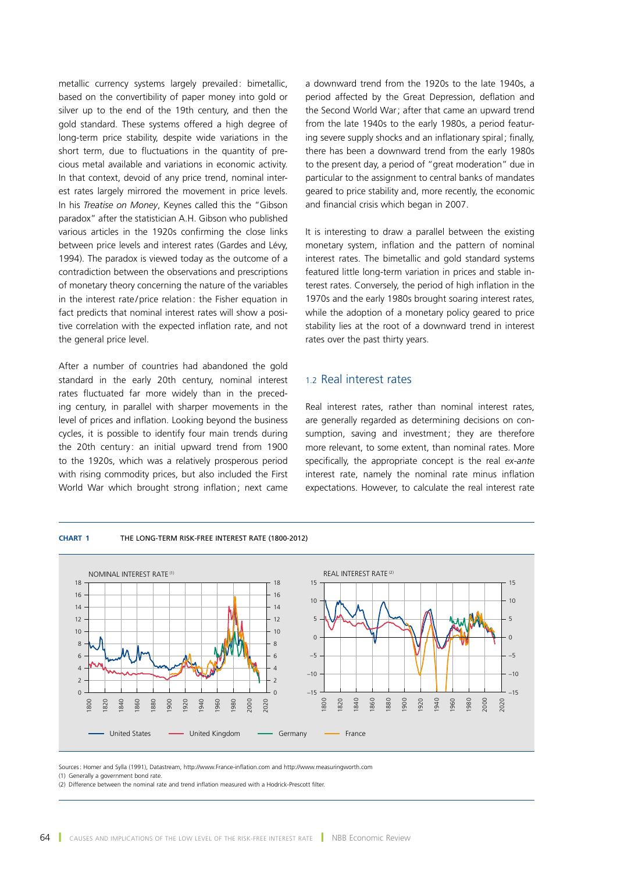metallic currency systems largely prevailed: bimetallic, based on the convertibility of paper money into gold or silver up to the end of the 19th century, and then the gold standard. These systems offered a high degree of long-term price stability, despite wide variations in the short term, due to fluctuations in the quantity of precious metal available and variations in economic activity. In that context, devoid of any price trend, nominal interest rates largely mirrored the movement in price levels. In his *Treatise on Money*, Keynes called this the "Gibson paradox" after the statistician A.H. Gibson who published various articles in the 1920s confirming the close links between price levels and interest rates (Gardes and Lévy, 1994). The paradox is viewed today as the outcome of a contradiction between the observations and prescriptions of monetary theory concerning the nature of the variables in the interest rate/price relation: the Fisher equation in fact predicts that nominal interest rates will show a positive correlation with the expected inflation rate, and not the general price level.

After a number of countries had abandoned the gold standard in the early 20th century, nominal interest rates fluctuated far more widely than in the preceding century, in parallel with sharper movements in the level of prices and inflation. Looking beyond the business cycles, it is possible to identify four main trends during the 20th century: an initial upward trend from 1900 to the 1920s, which was a relatively prosperous period with rising commodity prices, but also included the First World War which brought strong inflation; next came

**Chart 1** THE LONG‑TERM RISK‑FREE INTEREST RATE (1800-2012)

a downward trend from the 1920s to the late 1940s, a period affected by the Great Depression, deflation and the Second World War; after that came an upward trend from the late 1940s to the early 1980s, a period featuring severe supply shocks and an inflationary spiral; finally, there has been a downward trend from the early 1980s to the present day, a period of "great moderation" due in particular to the assignment to central banks of mandates geared to price stability and, more recently, the economic and financial crisis which began in 2007.

It is interesting to draw a parallel between the existing monetary system, inflation and the pattern of nominal interest rates. The bimetallic and gold standard systems featured little long-term variation in prices and stable interest rates. Conversely, the period of high inflation in the 1970s and the early 1980s brought soaring interest rates, while the adoption of a monetary policy geared to price stability lies at the root of a downward trend in interest rates over the past thirty years.

# 1.2 Real interest rates

Real interest rates, rather than nominal interest rates, are generally regarded as determining decisions on consumption, saving and investment; they are therefore more relevant, to some extent, than nominal rates. More specifically, the appropriate concept is the real *ex-ante* interest rate, namely the nominal rate minus inflation expectations. However, to calculate the real interest rate



Sources: Homer and Sylla (1991), Datastream, http://www.France-inflation.com and http://www.measuringworth.com (1) Generally a government bond rate.

(2) Difference between the nominal rate and trend inflation measured with a Hodrick-Prescott filter.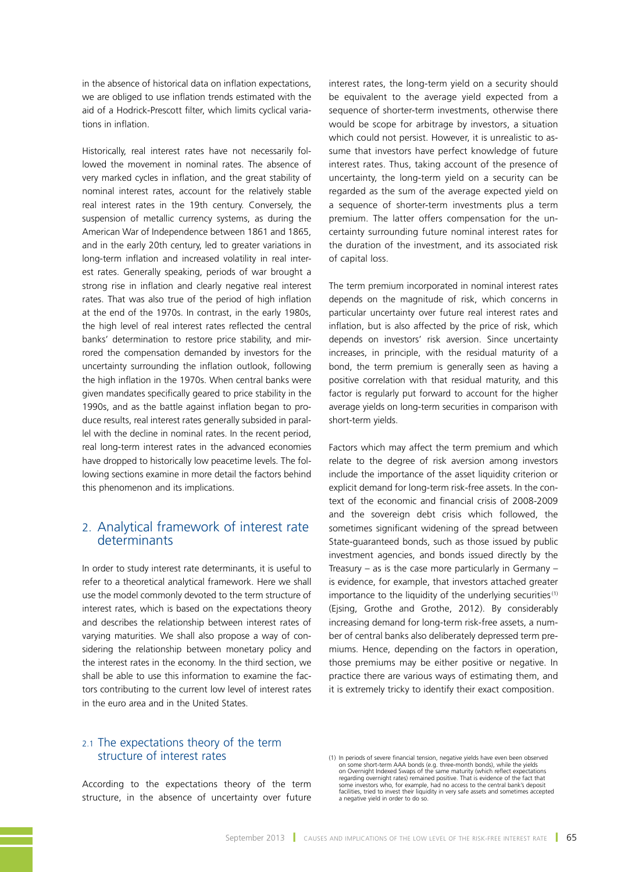in the absence of historical data on inflation expectations, we are obliged to use inflation trends estimated with the aid of a Hodrick-Prescott filter, which limits cyclical variations in inflation.

Historically, real interest rates have not necessarily followed the movement in nominal rates. The absence of very marked cycles in inflation, and the great stability of nominal interest rates, account for the relatively stable real interest rates in the 19th century. Conversely, the suspension of metallic currency systems, as during the American War of Independence between 1861 and 1865, and in the early 20th century, led to greater variations in long-term inflation and increased volatility in real interest rates. Generally speaking, periods of war brought a strong rise in inflation and clearly negative real interest rates. That was also true of the period of high inflation at the end of the 1970s. In contrast, in the early 1980s, the high level of real interest rates reflected the central banks' determination to restore price stability, and mirrored the compensation demanded by investors for the uncertainty surrounding the inflation outlook, following the high inflation in the 1970s. When central banks were given mandates specifically geared to price stability in the 1990s, and as the battle against inflation began to produce results, real interest rates generally subsided in parallel with the decline in nominal rates. In the recent period, real long-term interest rates in the advanced economies have dropped to historically low peacetime levels. The following sections examine in more detail the factors behind this phenomenon and its implications.

# 2. Analytical framework of interest rate determinants

In order to study interest rate determinants, it is useful to refer to a theoretical analytical framework. Here we shall use the model commonly devoted to the term structure of interest rates, which is based on the expectations theory and describes the relationship between interest rates of varying maturities. We shall also propose a way of considering the relationship between monetary policy and the interest rates in the economy. In the third section, we shall be able to use this information to examine the factors contributing to the current low level of interest rates in the euro area and in the United States.

interest rates, the long-term yield on a security should be equivalent to the average yield expected from a sequence of shorter-term investments, otherwise there would be scope for arbitrage by investors, a situation which could not persist. However, it is unrealistic to assume that investors have perfect knowledge of future interest rates. Thus, taking account of the presence of uncertainty, the long-term yield on a security can be regarded as the sum of the average expected yield on a sequence of shorter-term investments plus a term premium. The latter offers compensation for the uncertainty surrounding future nominal interest rates for the duration of the investment, and its associated risk of capital loss.

The term premium incorporated in nominal interest rates depends on the magnitude of risk, which concerns in particular uncertainty over future real interest rates and inflation, but is also affected by the price of risk, which depends on investors' risk aversion. Since uncertainty increases, in principle, with the residual maturity of a bond, the term premium is generally seen as having a positive correlation with that residual maturity, and this factor is regularly put forward to account for the higher average yields on long-term securities in comparison with short-term yields.

Factors which may affect the term premium and which relate to the degree of risk aversion among investors include the importance of the asset liquidity criterion or explicit demand for long-term risk-free assets. In the context of the economic and financial crisis of 2008-2009 and the sovereign debt crisis which followed, the sometimes significant widening of the spread between State-guaranteed bonds, such as those issued by public investment agencies, and bonds issued directly by the Treasury  $-$  as is the case more particularly in Germany  $$ is evidence, for example, that investors attached greater importance to the liquidity of the underlying securities $(1)$ (Ejsing, Grothe and Grothe, 2012). By considerably increasing demand for long-term risk-free assets, a number of central banks also deliberately depressed term premiums. Hence, depending on the factors in operation, those premiums may be either positive or negative. In practice there are various ways of estimating them, and it is extremely tricky to identify their exact composition.

# 2.1 The expectations theory of the term structure of interest rates

According to the expectations theory of the term structure, in the absence of uncertainty over future

<sup>(1)</sup> In periods of severe financial tension, negative yields have even been observed<br>on some short-term AAA bonds (e.g. three-month bonds), while the yields<br>on Overnight Indexed Swaps of the same maturity (which reflect exp regarding overnight rates) remained positive. That is evidence of the fact that<br>some investors who, for example, had no access to the central bank's deposit<br>facilities, tried to invest their liquidity in very safe assets a a negative yield in order to do so.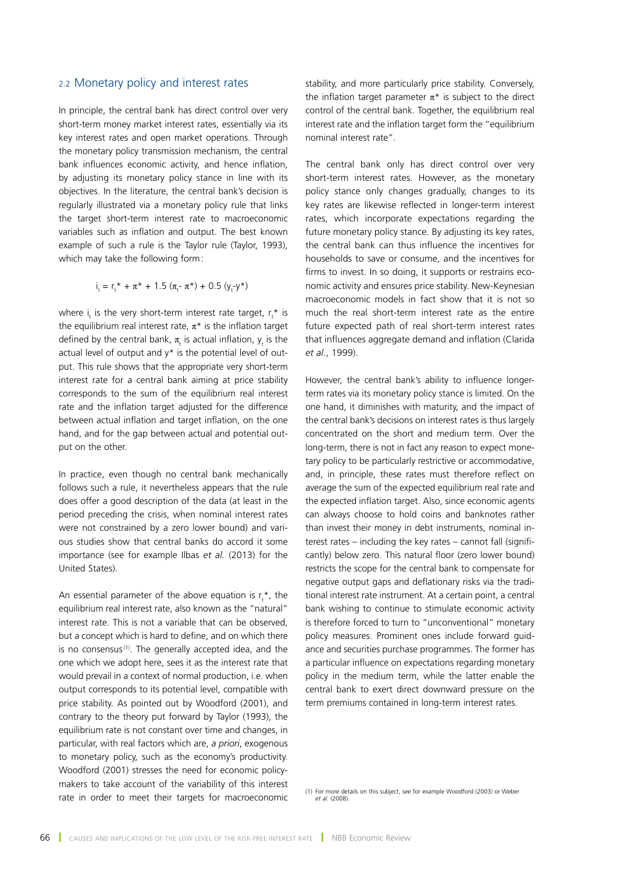#### 2.2 Monetary policy and interest rates

In principle, the central bank has direct control over very short-term money market interest rates, essentially via its key interest rates and open market operations. Through the monetary policy transmission mechanism, the central bank influences economic activity, and hence inflation, by adjusting its monetary policy stance in line with its objectives. In the literature, the central bank's decision is regularly illustrated via a monetary policy rule that links the target short-term interest rate to macroeconomic variables such as inflation and output. The best known example of such a rule is the Taylor rule (Taylor, 1993), which may take the following form:

$$
i_t = r_t^* + \pi^* + 1.5 (\pi_t^- \pi^*) + 0.5 (y_t^- y^*)
$$

where  $i_t$  is the very short-term interest rate target,  $r_t^*$  is the equilibrium real interest rate,  $\pi^*$  is the inflation target defined by the central bank,  $\pi_{\mathrm{t}}$  is actual inflation,  $\bm{\mathsf{y}}_{\mathrm{t}}$  is the actual level of output and y\* is the potential level of output. This rule shows that the appropriate very short-term interest rate for a central bank aiming at price stability corresponds to the sum of the equilibrium real interest rate and the inflation target adjusted for the difference between actual inflation and target inflation, on the one hand, and for the gap between actual and potential output on the other.

In practice, even though no central bank mechanically follows such a rule, it nevertheless appears that the rule does offer a good description of the data (at least in the period preceding the crisis, when nominal interest rates were not constrained by a zero lower bound) and various studies show that central banks do accord it some importance (see for example Ilbas *et al.* (2013) for the United States).

An essential parameter of the above equation is  $r_t^*$ , the equilibrium real interest rate, also known as the "natural" interest rate. This is not a variable that can be observed, but a concept which is hard to define, and on which there is no consensus $(1)$ . The generally accepted idea, and the one which we adopt here, sees it as the interest rate that would prevail in a context of normal production, i.e. when output corresponds to its potential level, compatible with price stability. As pointed out by Woodford (2001), and contrary to the theory put forward by Taylor (1993), the equilibrium rate is not constant over time and changes, in particular, with real factors which are, *a priori*, exogenous to monetary policy, such as the economy's productivity. Woodford (2001) stresses the need for economic policymakers to take account of the variability of this interest rate in order to meet their targets for macroeconomic

stability, and more particularly price stability. Conversely, the inflation target parameter  $\pi^*$  is subject to the direct control of the central bank. Together, the equilibrium real interest rate and the inflation target form the "equilibrium nominal interest rate".

The central bank only has direct control over very short-term interest rates. However, as the monetary policy stance only changes gradually, changes to its key rates are likewise reflected in longer-term interest rates, which incorporate expectations regarding the future monetary policy stance. By adjusting its key rates, the central bank can thus influence the incentives for households to save or consume, and the incentives for firms to invest. In so doing, it supports or restrains economic activity and ensures price stability. New-Keynesian macroeconomic models in fact show that it is not so much the real short-term interest rate as the entire future expected path of real short-term interest rates that influences aggregate demand and inflation (Clarida *et al.*, 1999).

However, the central bank's ability to influence longerterm rates via its monetary policy stance is limited. On the one hand, it diminishes with maturity, and the impact of the central bank's decisions on interest rates is thus largely concentrated on the short and medium term. Over the long-term, there is not in fact any reason to expect monetary policy to be particularly restrictive or accommodative, and, in principle, these rates must therefore reflect on average the sum of the expected equilibrium real rate and the expected inflation target. Also, since economic agents can always choose to hold coins and banknotes rather than invest their money in debt instruments, nominal interest rates – including the key rates – cannot fall (significantly) below zero. This natural floor (zero lower bound) restricts the scope for the central bank to compensate for negative output gaps and deflationary risks via the traditional interest rate instrument. At a certain point, a central bank wishing to continue to stimulate economic activity is therefore forced to turn to "unconventional" monetary policy measures. Prominent ones include forward guidance and securities purchase programmes. The former has a particular influence on expectations regarding monetary policy in the medium term, while the latter enable the central bank to exert direct downward pressure on the term premiums contained in long-term interest rates.

(1) For more details on this subject, see for example Woodford (2003) or Weber *et al.* (2008).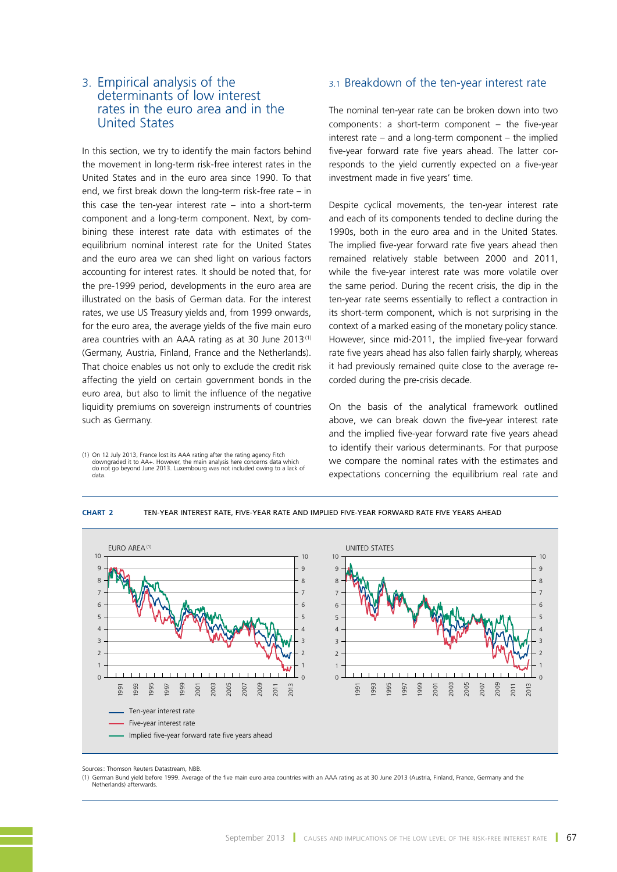# 3. Empirical analysis of the determinants of low interest rates in the euro area and in the United States

In this section, we try to identify the main factors behind the movement in long-term risk-free interest rates in the United States and in the euro area since 1990. To that end, we first break down the long-term risk-free rate – in this case the ten-year interest rate  $-$  into a short-term component and a long-term component. Next, by combining these interest rate data with estimates of the equilibrium nominal interest rate for the United States and the euro area we can shed light on various factors accounting for interest rates. It should be noted that, for the pre-1999 period, developments in the euro area are illustrated on the basis of German data. For the interest rates, we use US Treasury yields and, from 1999 onwards, for the euro area, the average yields of the five main euro area countries with an AAA rating as at 30 June 2013<sup>(1)</sup> (Germany, Austria, Finland, France and the Netherlands). That choice enables us not only to exclude the credit risk affecting the yield on certain government bonds in the euro area, but also to limit the influence of the negative liquidity premiums on sovereign instruments of countries such as Germany.

1) On 12 July 2013, France lost its AAA rating after the rating agency Fitch<br>downgraded it to AA+. However, the main analysis here concerns data which<br>do not go beyond June 2013. Luxembourg was not included owing to a lack data.

# 3.1 Breakdown of the ten-year interest rate

The nominal ten-year rate can be broken down into two components: a short-term component – the five-year interest rate – and a long-term component – the implied five-year forward rate five years ahead. The latter corresponds to the yield currently expected on a five-year investment made in five years' time.

Despite cyclical movements, the ten-year interest rate and each of its components tended to decline during the 1990s, both in the euro area and in the United States. The implied five-year forward rate five years ahead then remained relatively stable between 2000 and 2011, while the five-year interest rate was more volatile over the same period. During the recent crisis, the dip in the ten-year rate seems essentially to reflect a contraction in its short-term component, which is not surprising in the context of a marked easing of the monetary policy stance. However, since mid-2011, the implied five-year forward rate five years ahead has also fallen fairly sharply, whereas it had previously remained quite close to the average recorded during the pre-crisis decade.

On the basis of the analytical framework outlined above, we can break down the five-year interest rate and the implied five-year forward rate five years ahead to identify their various determinants. For that purpose we compare the nominal rates with the estimates and expectations concerning the equilibrium real rate and



**Chart 2** TEN‑YEAR INTEREST RATE, FIVE‑YEAR RATE AND IMPLIED FIVE‑YEAR FORWARD RATE FIVE YEARS AHEAD

Sources: Thomson Reuters Datastream, NBB.

(1) German Bund yield before 1999. Average of the five main euro area countries with an AAA rating as at 30 June 2013 (Austria, Finland, France, Germany and the Netherlands) afterwards.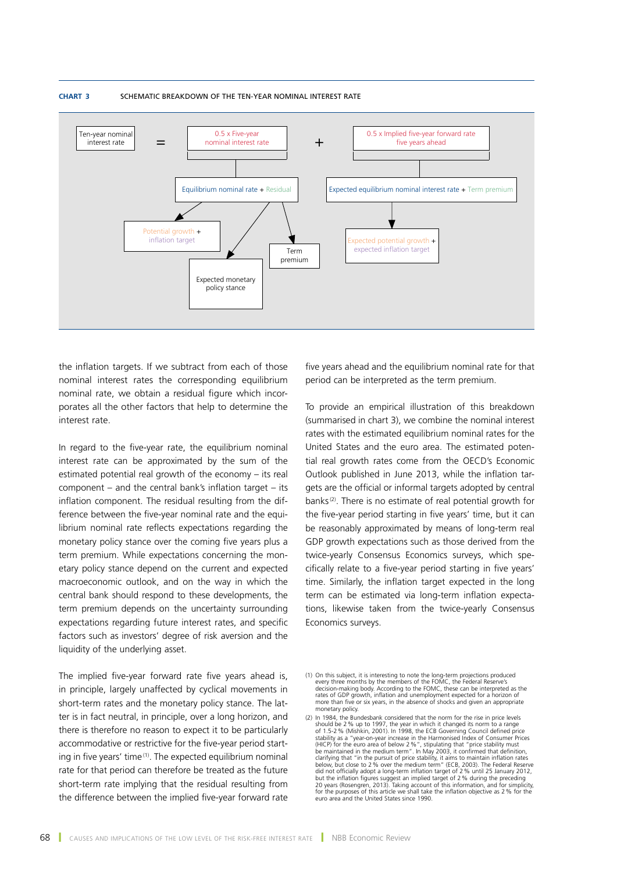

#### **Chart 3** SCHEMATIC BREAKDOWN OF THE TEN‑YEAR NOMINAL INTEREST RATE

the inflation targets. If we subtract from each of those nominal interest rates the corresponding equilibrium nominal rate, we obtain a residual figure which incorporates all the other factors that help to determine the interest rate.

In regard to the five-year rate, the equilibrium nominal interest rate can be approximated by the sum of the estimated potential real growth of the economy – its real component – and the central bank's inflation target – its inflation component. The residual resulting from the difference between the five-year nominal rate and the equilibrium nominal rate reflects expectations regarding the monetary policy stance over the coming five years plus a term premium. While expectations concerning the monetary policy stance depend on the current and expected macroeconomic outlook, and on the way in which the central bank should respond to these developments, the term premium depends on the uncertainty surrounding expectations regarding future interest rates, and specific factors such as investors' degree of risk aversion and the liquidity of the underlying asset.

The implied five-year forward rate five years ahead is, in principle, largely unaffected by cyclical movements in short-term rates and the monetary policy stance. The latter is in fact neutral, in principle, over a long horizon, and there is therefore no reason to expect it to be particularly accommodative or restrictive for the five-year period starting in five years' time<sup>(1)</sup>. The expected equilibrium nominal rate for that period can therefore be treated as the future short-term rate implying that the residual resulting from the difference between the implied five-year forward rate

five years ahead and the equilibrium nominal rate for that period can be interpreted as the term premium.

To provide an empirical illustration of this breakdown (summarised in chart 3), we combine the nominal interest rates with the estimated equilibrium nominal rates for the United States and the euro area. The estimated potential real growth rates come from the OECD's Economic Outlook published in June 2013, while the inflation targets are the official or informal targets adopted by central banks(2). There is no estimate of real potential growth for the five-year period starting in five years' time, but it can be reasonably approximated by means of long-term real GDP growth expectations such as those derived from the twice-yearly Consensus Economics surveys, which specifically relate to a five-year period starting in five years' time. Similarly, the inflation target expected in the long term can be estimated via long-term inflation expectations, likewise taken from the twice-yearly Consensus Economics surveys.

<sup>(1)</sup> On this subject, it is interesting to note the long-term projections produced every three months by the members of the FOMC, the Federal Reserve's<br>decision-making body. According to the FOMC, these can be interpreted as the<br>rates of GDP growth, inflation and unemployment expected for a horizon of more than five or six years, in the absence of shocks and given an appropriate monetary policy.

<sup>(2)</sup> In 1984, the Bundesbank considered that the norm for the rise in price levels should be 2% up to 1997, the year in which it changed its norm to a range of 1.5-2% (Mishkin, 2001). In 1998, the ECB Governing Council defined price stability as a "year-on-year increase in the Harmonised Index of Consumer Prices<br>(HICP) for the euro area of below 2 %", stipulating that "price stability must<br>be maintained in the medium term". In May 2003, it confirmed t but the inflation figures suggest an implied target of 2 % during the preceding<br>20 years (Rosengren, 2013). Taking account of this information, and for simplicity,<br>for the purposes of this article we shall take the inflati euro area and the United States since 1990.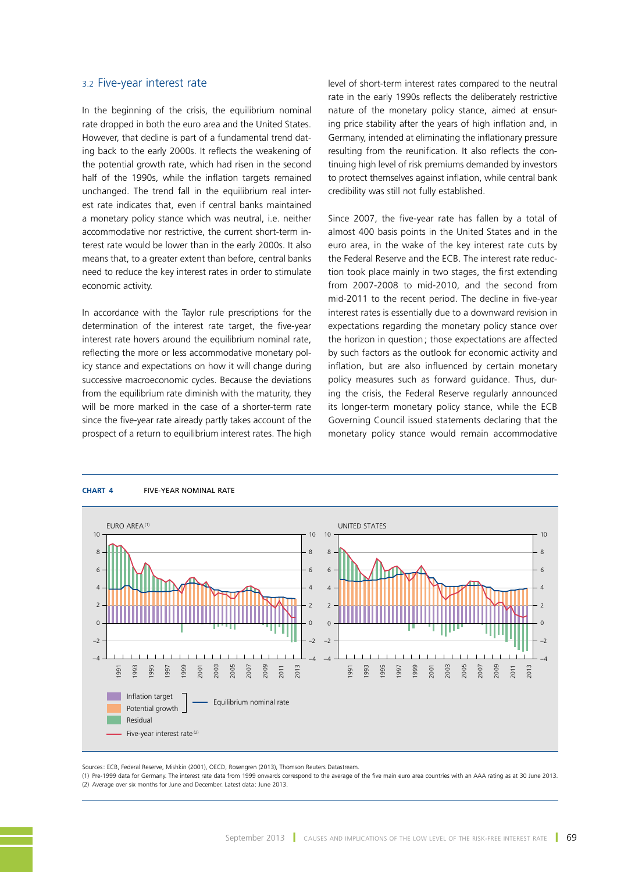#### 3.2 Five-year interest rate

In the beginning of the crisis, the equilibrium nominal rate dropped in both the euro area and the United States. However, that decline is part of a fundamental trend dating back to the early 2000s. It reflects the weakening of the potential growth rate, which had risen in the second half of the 1990s, while the inflation targets remained unchanged. The trend fall in the equilibrium real interest rate indicates that, even if central banks maintained a monetary policy stance which was neutral, i.e. neither accommodative nor restrictive, the current short-term interest rate would be lower than in the early 2000s. It also means that, to a greater extent than before, central banks need to reduce the key interest rates in order to stimulate economic activity.

In accordance with the Taylor rule prescriptions for the determination of the interest rate target, the five-year interest rate hovers around the equilibrium nominal rate, reflecting the more or less accommodative monetary policy stance and expectations on how it will change during successive macroeconomic cycles. Because the deviations from the equilibrium rate diminish with the maturity, they will be more marked in the case of a shorter-term rate since the five-year rate already partly takes account of the prospect of a return to equilibrium interest rates. The high

level of short-term interest rates compared to the neutral rate in the early 1990s reflects the deliberately restrictive nature of the monetary policy stance, aimed at ensuring price stability after the years of high inflation and, in Germany, intended at eliminating the inflationary pressure resulting from the reunification. It also reflects the continuing high level of risk premiums demanded by investors to protect themselves against inflation, while central bank credibility was still not fully established.

Since 2007, the five-year rate has fallen by a total of almost 400 basis points in the United States and in the euro area, in the wake of the key interest rate cuts by the Federal Reserve and the ECB. The interest rate reduction took place mainly in two stages, the first extending from 2007-2008 to mid-2010, and the second from mid-2011 to the recent period. The decline in five-year interest rates is essentially due to a downward revision in expectations regarding the monetary policy stance over the horizon in question ; those expectations are affected by such factors as the outlook for economic activity and inflation, but are also influenced by certain monetary policy measures such as forward guidance. Thus, during the crisis, the Federal Reserve regularly announced its longer-term monetary policy stance, while the ECB Governing Council issued statements declaring that the monetary policy stance would remain accommodative



#### **Chart 4** FIVE‑YEAR NOMINAL RATE

Sources: ECB, Federal Reserve, Mishkin (2001), OECD, Rosengren (2013), Thomson Reuters Datastream.

(1) Pre-1999 data for Germany. The interest rate data from 1999 onwards correspond to the average of the five main euro area countries with an AAA rating as at 30 June 2013. (2) Average over six months for June and December. Latest data: June 2013.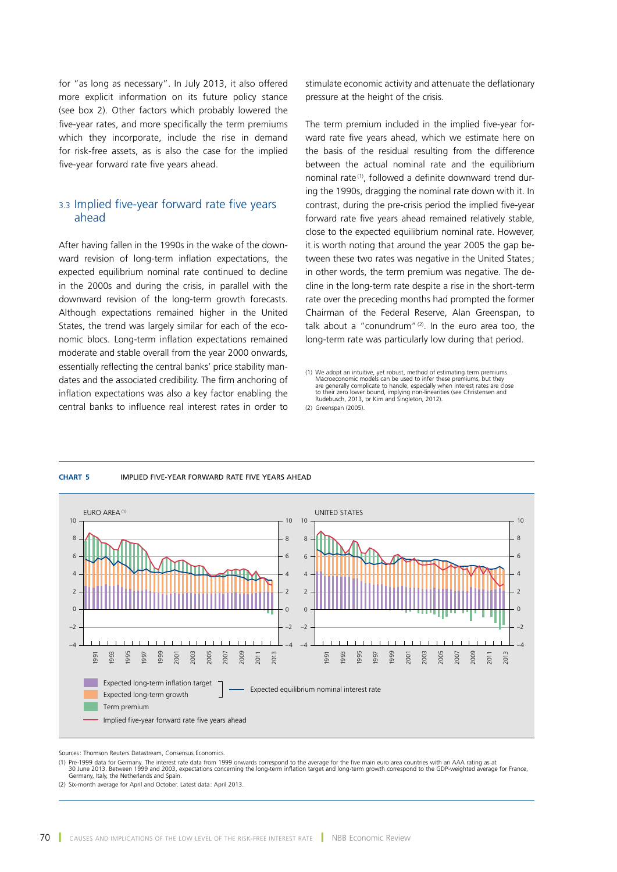for "as long as necessary". In July 2013, it also offered more explicit information on its future policy stance (see box 2). Other factors which probably lowered the five-year rates, and more specifically the term premiums which they incorporate, include the rise in demand for risk-free assets, as is also the case for the implied five-year forward rate five years ahead.

# 3.3 Implied five-year forward rate five years ahead

After having fallen in the 1990s in the wake of the downward revision of long-term inflation expectations, the expected equilibrium nominal rate continued to decline in the 2000s and during the crisis, in parallel with the downward revision of the long-term growth forecasts. Although expectations remained higher in the United States, the trend was largely similar for each of the economic blocs. Long-term inflation expectations remained moderate and stable overall from the year 2000 onwards, essentially reflecting the central banks' price stability mandates and the associated credibility. The firm anchoring of inflation expectations was also a key factor enabling the central banks to influence real interest rates in order to stimulate economic activity and attenuate the deflationary pressure at the height of the crisis.

The term premium included in the implied five-year forward rate five years ahead, which we estimate here on the basis of the residual resulting from the difference between the actual nominal rate and the equilibrium nominal rate<sup>(1)</sup>, followed a definite downward trend during the 1990s, dragging the nominal rate down with it. In contrast, during the pre-crisis period the implied five-year forward rate five years ahead remained relatively stable, close to the expected equilibrium nominal rate. However, it is worth noting that around the year 2005 the gap between these two rates was negative in the United States: in other words, the term premium was negative. The decline in the long-term rate despite a rise in the short-term rate over the preceding months had prompted the former Chairman of the Federal Reserve, Alan Greenspan, to talk about a "conundrum" $(2)$ . In the euro area too, the long-term rate was particularly low during that period.

(2) Greenspan (2005).



#### **Chart 5** IMPLIED FIVE‑YEAR FORWARD RATE FIVE YEARS AHEAD

Sources: Thomson Reuters Datastream, Consensus Economics.

(1) Pre-1999 data for Germany. The interest rate data from 1999 onwards correspond to the average for the five main euro area countries with an AAA rating as at<br>30 June 2013. Between 1999 and 2003, expectations concerning Germany, Italy, the Netherlands and Spain.

(2) Six-month average for April and October. Latest data: April 2013.

<sup>(1)</sup> We adopt an intuitive, yet robust, method of estimating term premiums. Macroeconomic models can be used to infer these premiums, but they are generally complicate to handle, especially when interest rates are close to their zero lower bound, implying non-linearities (see Christensen and Rudebusch, 2013, or Kim and Singleton, 2012).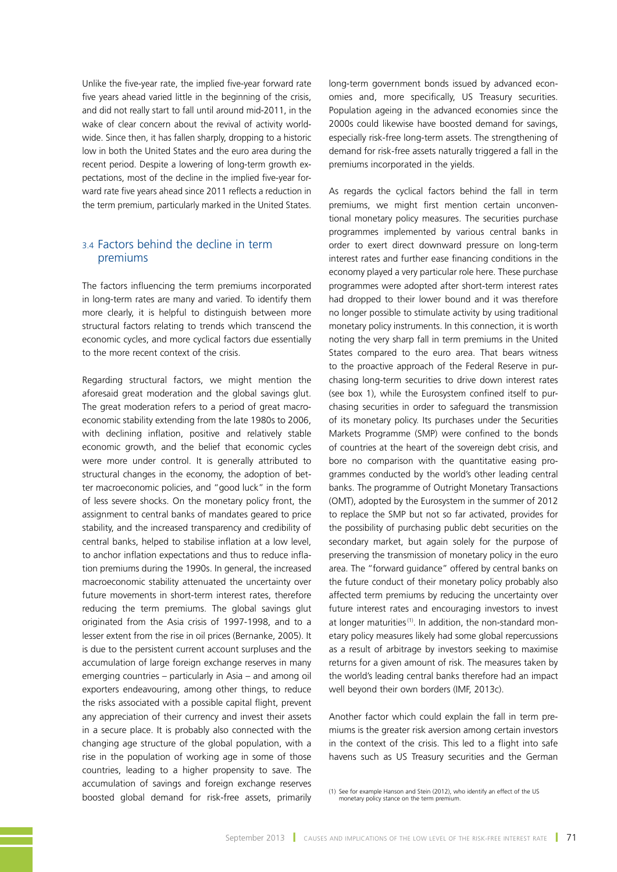Unlike the five-year rate, the implied five-year forward rate five years ahead varied little in the beginning of the crisis, and did not really start to fall until around mid-2011, in the wake of clear concern about the revival of activity worldwide. Since then, it has fallen sharply, dropping to a historic low in both the United States and the euro area during the recent period. Despite a lowering of long-term growth expectations, most of the decline in the implied five-year forward rate five years ahead since 2011 reflects a reduction in the term premium, particularly marked in the United States.

# 3.4 Factors behind the decline in term premiums

The factors influencing the term premiums incorporated in long-term rates are many and varied. To identify them more clearly, it is helpful to distinguish between more structural factors relating to trends which transcend the economic cycles, and more cyclical factors due essentially to the more recent context of the crisis.

Regarding structural factors, we might mention the aforesaid great moderation and the global savings glut. The great moderation refers to a period of great macroeconomic stability extending from the late 1980s to 2006, with declining inflation, positive and relatively stable economic growth, and the belief that economic cycles were more under control. It is generally attributed to structural changes in the economy, the adoption of better macroeconomic policies, and "good luck" in the form of less severe shocks. On the monetary policy front, the assignment to central banks of mandates geared to price stability, and the increased transparency and credibility of central banks, helped to stabilise inflation at a low level, to anchor inflation expectations and thus to reduce inflation premiums during the 1990s. In general, the increased macroeconomic stability attenuated the uncertainty over future movements in short-term interest rates, therefore reducing the term premiums. The global savings glut originated from the Asia crisis of 1997-1998, and to a lesser extent from the rise in oil prices (Bernanke, 2005). It is due to the persistent current account surpluses and the accumulation of large foreign exchange reserves in many emerging countries – particularly in Asia – and among oil exporters endeavouring, among other things, to reduce the risks associated with a possible capital flight, prevent any appreciation of their currency and invest their assets in a secure place. It is probably also connected with the changing age structure of the global population, with a rise in the population of working age in some of those countries, leading to a higher propensity to save. The accumulation of savings and foreign exchange reserves boosted global demand for risk-free assets, primarily

long-term government bonds issued by advanced economies and, more specifically, US Treasury securities. Population ageing in the advanced economies since the 2000s could likewise have boosted demand for savings, especially risk-free long-term assets. The strengthening of demand for risk-free assets naturally triggered a fall in the premiums incorporated in the yields.

As regards the cyclical factors behind the fall in term premiums, we might first mention certain unconventional monetary policy measures. The securities purchase programmes implemented by various central banks in order to exert direct downward pressure on long-term interest rates and further ease financing conditions in the economy played a very particular role here. These purchase programmes were adopted after short-term interest rates had dropped to their lower bound and it was therefore no longer possible to stimulate activity by using traditional monetary policy instruments. In this connection, it is worth noting the very sharp fall in term premiums in the United States compared to the euro area. That bears witness to the proactive approach of the Federal Reserve in purchasing long-term securities to drive down interest rates (see box 1), while the Eurosystem confined itself to purchasing securities in order to safeguard the transmission of its monetary policy. Its purchases under the Securities Markets Programme (SMP) were confined to the bonds of countries at the heart of the sovereign debt crisis, and bore no comparison with the quantitative easing programmes conducted by the world's other leading central banks. The programme of Outright Monetary Transactions (OMT), adopted by the Eurosystem in the summer of 2012 to replace the SMP but not so far activated, provides for the possibility of purchasing public debt securities on the secondary market, but again solely for the purpose of preserving the transmission of monetary policy in the euro area. The "forward guidance" offered by central banks on the future conduct of their monetary policy probably also affected term premiums by reducing the uncertainty over future interest rates and encouraging investors to invest at longer maturities<sup>(1)</sup>. In addition, the non-standard monetary policy measures likely had some global repercussions as a result of arbitrage by investors seeking to maximise returns for a given amount of risk. The measures taken by the world's leading central banks therefore had an impact well beyond their own borders (IMF, 2013c).

Another factor which could explain the fall in term premiums is the greater risk aversion among certain investors in the context of the crisis. This led to a flight into safe havens such as US Treasury securities and the German

<sup>(1)</sup> See for example Hanson and Stein (2012), who identify an effect of the US monetary policy stance on the term premium.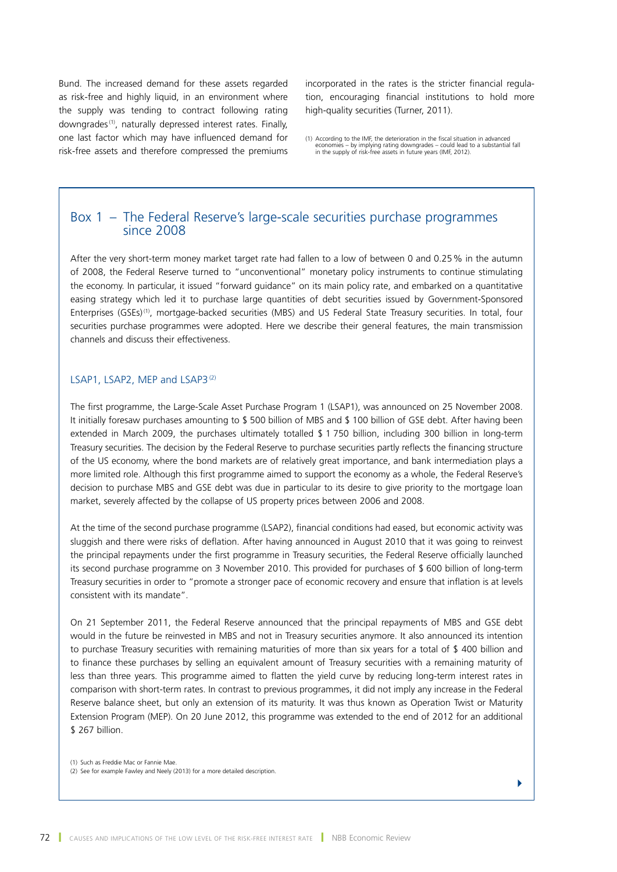Bund. The increased demand for these assets regarded as risk-free and highly liquid, in an environment where the supply was tending to contract following rating downgrades<sup>(1)</sup>, naturally depressed interest rates. Finally, one last factor which may have influenced demand for risk-free assets and therefore compressed the premiums incorporated in the rates is the stricter financial regulation, encouraging financial institutions to hold more high-quality securities (Turner, 2011).

(1) According to the IMF, the deterioration in the fiscal situation in advanced economies – by implying rating downgrades – could lead to a substantial fall in the supply of risk-free assets in future years (IMF, 2012).

# Box 1 – The Federal Reserve's large-scale securities purchase programmes since 2008

After the very short-term money market target rate had fallen to a low of between 0 and 0.25% in the autumn of 2008, the Federal Reserve turned to "unconventional" monetary policy instruments to continue stimulating the economy. In particular, it issued "forward guidance" on its main policy rate, and embarked on a quantitative easing strategy which led it to purchase large quantities of debt securities issued by Government-Sponsored Enterprises (GSEs)(1), mortgage-backed securities (MBS) and US Federal State Treasury securities. In total, four securities purchase programmes were adopted. Here we describe their general features, the main transmission channels and discuss their effectiveness.

#### LSAP1, LSAP2, MEP and LSAP3<sup>(2)</sup>

The first programme, the Large-Scale Asset Purchase Program 1 (LSAP1), was announced on 25 November 2008. It initially foresaw purchases amounting to \$ 500 billion of MBS and \$ 100 billion of GSE debt. After having been extended in March 2009, the purchases ultimately totalled \$ 1 750 billion, including 300 billion in long-term Treasury securities. The decision by the Federal Reserve to purchase securities partly reflects the financing structure of the US economy, where the bond markets are of relatively great importance, and bank intermediation plays a more limited role. Although this first programme aimed to support the economy as a whole, the Federal Reserve's decision to purchase MBS and GSE debt was due in particular to its desire to give priority to the mortgage loan market, severely affected by the collapse of US property prices between 2006 and 2008.

At the time of the second purchase programme (LSAP2), financial conditions had eased, but economic activity was sluggish and there were risks of deflation. After having announced in August 2010 that it was going to reinvest the principal repayments under the first programme in Treasury securities, the Federal Reserve officially launched its second purchase programme on 3 November 2010. This provided for purchases of \$ 600 billion of long-term Treasury securities in order to "promote a stronger pace of economic recovery and ensure that inflation is at levels consistent with its mandate".

On 21 September 2011, the Federal Reserve announced that the principal repayments of MBS and GSE debt would in the future be reinvested in MBS and not in Treasury securities anymore. It also announced its intention to purchase Treasury securities with remaining maturities of more than six years for a total of \$ 400 billion and to finance these purchases by selling an equivalent amount of Treasury securities with a remaining maturity of less than three years. This programme aimed to flatten the yield curve by reducing long-term interest rates in comparison with short-term rates. In contrast to previous programmes, it did not imply any increase in the Federal Reserve balance sheet, but only an extension of its maturity. It was thus known as Operation Twist or Maturity Extension Program (MEP). On 20 June 2012, this programme was extended to the end of 2012 for an additional \$ 267 billion.

(1) Such as Freddie Mac or Fannie Mae. (2) See for example Fawley and Neely (2013) for a more detailed description.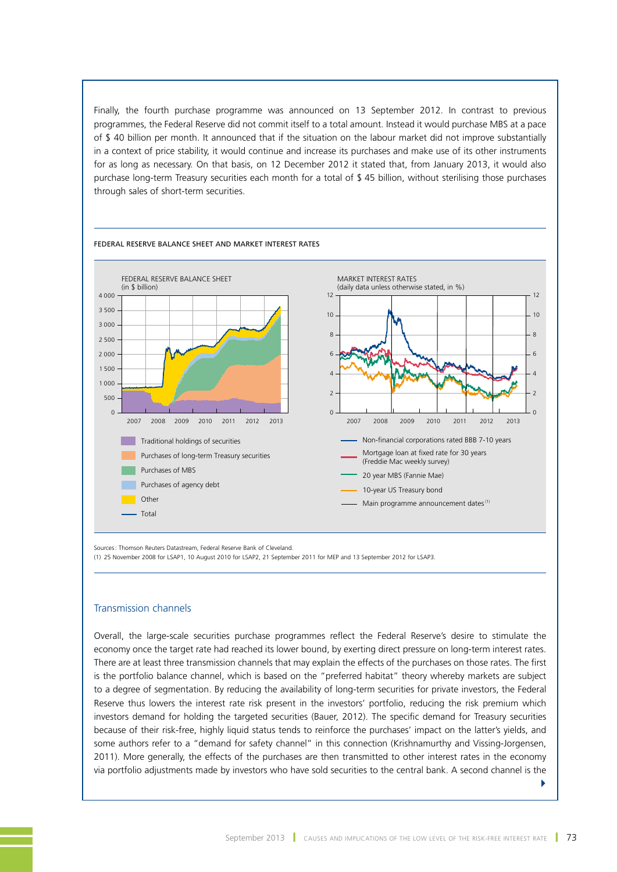Finally, the fourth purchase programme was announced on 13 September 2012. In contrast to previous programmes, the Federal Reserve did not commit itself to a total amount. Instead it would purchase MBS at a pace of \$ 40 billion per month. It announced that if the situation on the labour market did not improve substantially in a context of price stability, it would continue and increase its purchases and make use of its other instruments for as long as necessary. On that basis, on 12 December 2012 it stated that, from January 2013, it would also purchase long-term Treasury securities each month for a total of \$ 45 billion, without sterilising those purchases through sales of short-term securities.



Sources: Thomson Reuters Datastream, Federal Reserve Bank of Cleveland.

(1) 25 November 2008 for LSAP1, 10 August 2010 for LSAP2, 21 September 2011 for MEP and 13 September 2012 for LSAP3.

#### Transmission channels

Overall, the large-scale securities purchase programmes reflect the Federal Reserve's desire to stimulate the economy once the target rate had reached its lower bound, by exerting direct pressure on long-term interest rates. There are at least three transmission channels that may explain the effects of the purchases on those rates. The first is the portfolio balance channel, which is based on the "preferred habitat" theory whereby markets are subject to a degree of segmentation. By reducing the availability of long-term securities for private investors, the Federal Reserve thus lowers the interest rate risk present in the investors' portfolio, reducing the risk premium which investors demand for holding the targeted securities (Bauer, 2012). The specific demand for Treasury securities because of their risk-free, highly liquid status tends to reinforce the purchases' impact on the latter's yields, and some authors refer to a "demand for safety channel" in this connection (Krishnamurthy and Vissing-Jorgensen, 2011). More generally, the effects of the purchases are then transmitted to other interest rates in the economy via portfolio adjustments made by investors who have sold securities to the central bank. A second channel is the

4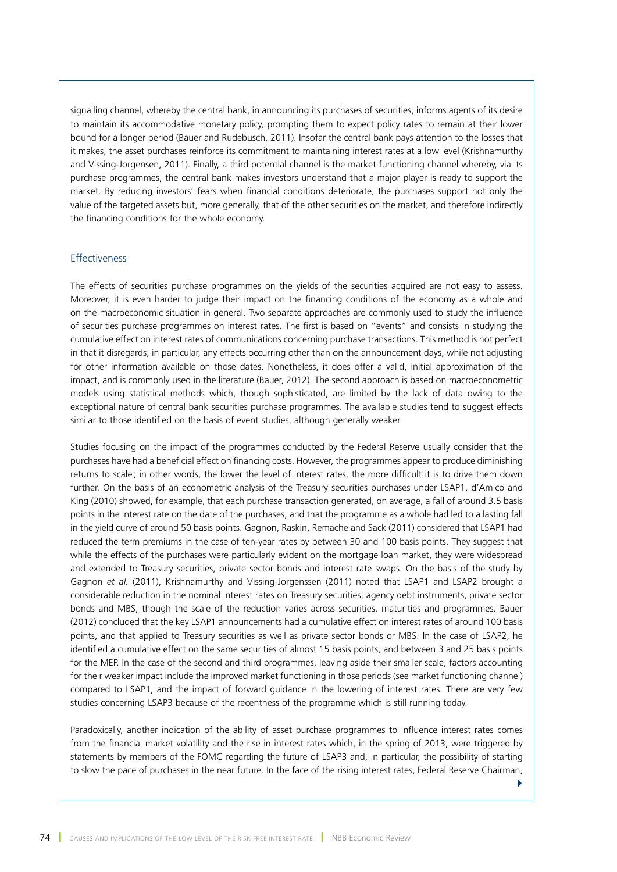signalling channel, whereby the central bank, in announcing its purchases of securities, informs agents of its desire to maintain its accommodative monetary policy, prompting them to expect policy rates to remain at their lower bound for a longer period (Bauer and Rudebusch, 2011). Insofar the central bank pays attention to the losses that it makes, the asset purchases reinforce its commitment to maintaining interest rates at a low level (Krishnamurthy and Vissing-Jorgensen, 2011). Finally, a third potential channel is the market functioning channel whereby, via its purchase programmes, the central bank makes investors understand that a major player is ready to support the market. By reducing investors' fears when financial conditions deteriorate, the purchases support not only the value of the targeted assets but, more generally, that of the other securities on the market, and therefore indirectly the financing conditions for the whole economy.

#### Effectiveness

The effects of securities purchase programmes on the yields of the securities acquired are not easy to assess. Moreover, it is even harder to judge their impact on the financing conditions of the economy as a whole and on the macroeconomic situation in general. Two separate approaches are commonly used to study the influence of securities purchase programmes on interest rates. The first is based on "events" and consists in studying the cumulative effect on interest rates of communications concerning purchase transactions. This method is not perfect in that it disregards, in particular, any effects occurring other than on the announcement days, while not adjusting for other information available on those dates. Nonetheless, it does offer a valid, initial approximation of the impact, and is commonly used in the literature (Bauer, 2012). The second approach is based on macroeconometric models using statistical methods which, though sophisticated, are limited by the lack of data owing to the exceptional nature of central bank securities purchase programmes. The available studies tend to suggest effects similar to those identified on the basis of event studies, although generally weaker.

Studies focusing on the impact of the programmes conducted by the Federal Reserve usually consider that the purchases have had a beneficial effect on financing costs. However, the programmes appear to produce diminishing returns to scale ; in other words, the lower the level of interest rates, the more difficult it is to drive them down further. On the basis of an econometric analysis of the Treasury securities purchases under LSAP1, d'Amico and King (2010) showed, for example, that each purchase transaction generated, on average, a fall of around 3.5 basis points in the interest rate on the date of the purchases, and that the programme as a whole had led to a lasting fall in the yield curve of around 50 basis points. Gagnon, Raskin, Remache and Sack (2011) considered that LSAP1 had reduced the term premiums in the case of ten-year rates by between 30 and 100 basis points. They suggest that while the effects of the purchases were particularly evident on the mortgage loan market, they were widespread and extended to Treasury securities, private sector bonds and interest rate swaps. On the basis of the study by Gagnon *et al.* (2011), Krishnamurthy and Vissing-Jorgenssen (2011) noted that LSAP1 and LSAP2 brought a considerable reduction in the nominal interest rates on Treasury securities, agency debt instruments, private sector bonds and MBS, though the scale of the reduction varies across securities, maturities and programmes. Bauer (2012) concluded that the key LSAP1 announcements had a cumulative effect on interest rates of around 100 basis points, and that applied to Treasury securities as well as private sector bonds or MBS. In the case of LSAP2, he identified a cumulative effect on the same securities of almost 15 basis points, and between 3 and 25 basis points for the MEP. In the case of the second and third programmes, leaving aside their smaller scale, factors accounting for their weaker impact include the improved market functioning in those periods (see market functioning channel) compared to LSAP1, and the impact of forward guidance in the lowering of interest rates. There are very few studies concerning LSAP3 because of the recentness of the programme which is still running today.

Paradoxically, another indication of the ability of asset purchase programmes to influence interest rates comes from the financial market volatility and the rise in interest rates which, in the spring of 2013, were triggered by statements by members of the FOMC regarding the future of LSAP3 and, in particular, the possibility of starting to slow the pace of purchases in the near future. In the face of the rising interest rates, Federal Reserve Chairman,

 $\blacktriangleright$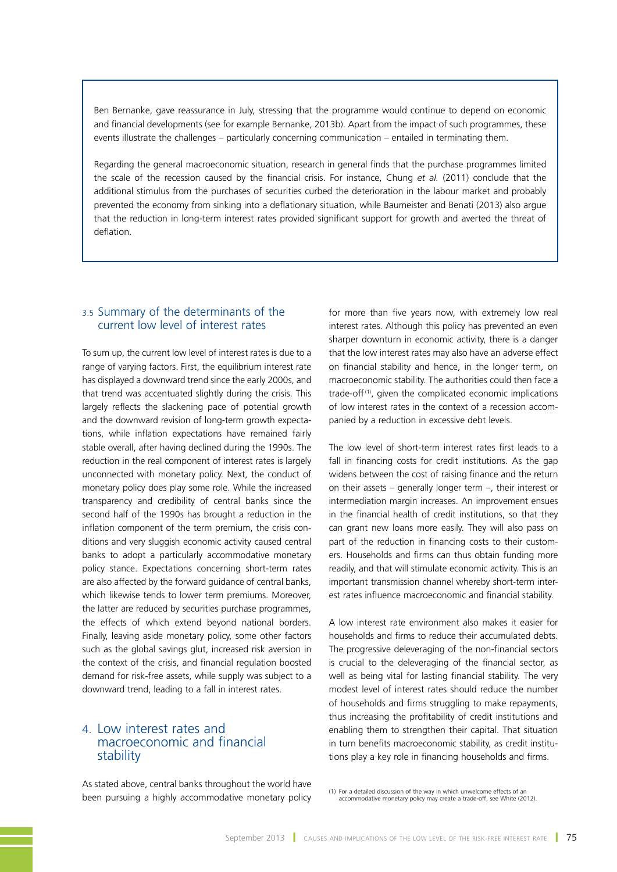Ben Bernanke, gave reassurance in July, stressing that the programme would continue to depend on economic and financial developments (see for example Bernanke, 2013b). Apart from the impact of such programmes, these events illustrate the challenges – particularly concerning communication – entailed in terminating them.

Regarding the general macroeconomic situation, research in general finds that the purchase programmes limited the scale of the recession caused by the financial crisis. For instance, Chung *et al.* (2011) conclude that the additional stimulus from the purchases of securities curbed the deterioration in the labour market and probably prevented the economy from sinking into a deflationary situation, while Baumeister and Benati (2013) also argue that the reduction in long-term interest rates provided significant support for growth and averted the threat of deflation.

# 3.5 Summary of the determinants of the current low level of interest rates

To sum up, the current low level of interest rates is due to a range of varying factors. First, the equilibrium interest rate has displayed a downward trend since the early 2000s, and that trend was accentuated slightly during the crisis. This largely reflects the slackening pace of potential growth and the downward revision of long-term growth expectations, while inflation expectations have remained fairly stable overall, after having declined during the 1990s. The reduction in the real component of interest rates is largely unconnected with monetary policy. Next, the conduct of monetary policy does play some role. While the increased transparency and credibility of central banks since the second half of the 1990s has brought a reduction in the inflation component of the term premium, the crisis conditions and very sluggish economic activity caused central banks to adopt a particularly accommodative monetary policy stance. Expectations concerning short-term rates are also affected by the forward guidance of central banks, which likewise tends to lower term premiums. Moreover, the latter are reduced by securities purchase programmes, the effects of which extend beyond national borders. Finally, leaving aside monetary policy, some other factors such as the global savings glut, increased risk aversion in the context of the crisis, and financial regulation boosted demand for risk-free assets, while supply was subject to a downward trend, leading to a fall in interest rates.

# 4. Low interest rates and macroeconomic and financial stability

As stated above, central banks throughout the world have been pursuing a highly accommodative monetary policy for more than five years now, with extremely low real interest rates. Although this policy has prevented an even sharper downturn in economic activity, there is a danger that the low interest rates may also have an adverse effect on financial stability and hence, in the longer term, on macroeconomic stability. The authorities could then face a trade-off $(1)$ , given the complicated economic implications of low interest rates in the context of a recession accompanied by a reduction in excessive debt levels.

The low level of short-term interest rates first leads to a fall in financing costs for credit institutions. As the gap widens between the cost of raising finance and the return on their assets – generally longer term –, their interest or intermediation margin increases. An improvement ensues in the financial health of credit institutions, so that they can grant new loans more easily. They will also pass on part of the reduction in financing costs to their customers. Households and firms can thus obtain funding more readily, and that will stimulate economic activity. This is an important transmission channel whereby short-term interest rates influence macroeconomic and financial stability.

A low interest rate environment also makes it easier for households and firms to reduce their accumulated debts. The progressive deleveraging of the non-financial sectors is crucial to the deleveraging of the financial sector, as well as being vital for lasting financial stability. The very modest level of interest rates should reduce the number of households and firms struggling to make repayments, thus increasing the profitability of credit institutions and enabling them to strengthen their capital. That situation in turn benefits macroeconomic stability, as credit institutions play a key role in financing households and firms.

(1) For a detailed discussion of the way in which unwelcome effects of an accommodative monetary policy may create a trade-off, see White (2012).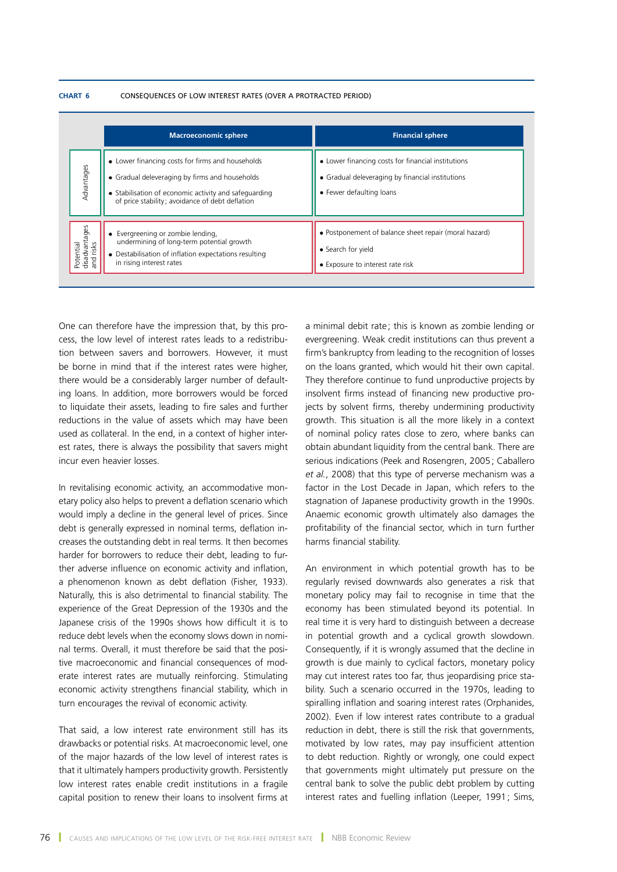#### **Chart 6** CONSEQUENCES OF LOW INTEREST RATES (OVER A PROTRACTED PERIOD)

|                                         | <b>Macroeconomic sphere</b>                                                                                                                                                                                    | <b>Financial sphere</b>                                                                                                            |
|-----------------------------------------|----------------------------------------------------------------------------------------------------------------------------------------------------------------------------------------------------------------|------------------------------------------------------------------------------------------------------------------------------------|
| Advantages                              | • Lower financing costs for firms and households<br>• Gradual deleveraging by firms and households<br>• Stabilisation of economic activity and safeguarding<br>of price stability; avoidance of debt deflation | • Lower financing costs for financial institutions<br>• Gradual deleveraging by financial institutions<br>• Fewer defaulting loans |
| disadvantages<br>and risks<br>Potential | • Evergreening or zombie lending,<br>undermining of long-term potential growth<br>• Destabilisation of inflation expectations resulting<br>in rising interest rates                                            | • Postponement of balance sheet repair (moral hazard)<br>• Search for yield<br>• Exposure to interest rate risk                    |

One can therefore have the impression that, by this process, the low level of interest rates leads to a redistribution between savers and borrowers. However, it must be borne in mind that if the interest rates were higher, there would be a considerably larger number of defaulting loans. In addition, more borrowers would be forced to liquidate their assets, leading to fire sales and further reductions in the value of assets which may have been used as collateral. In the end, in a context of higher interest rates, there is always the possibility that savers might incur even heavier losses.

In revitalising economic activity, an accommodative monetary policy also helps to prevent a deflation scenario which would imply a decline in the general level of prices. Since debt is generally expressed in nominal terms, deflation increases the outstanding debt in real terms. It then becomes harder for borrowers to reduce their debt, leading to further adverse influence on economic activity and inflation, a phenomenon known as debt deflation (Fisher, 1933). Naturally, this is also detrimental to financial stability. The experience of the Great Depression of the 1930s and the Japanese crisis of the 1990s shows how difficult it is to reduce debt levels when the economy slows down in nominal terms. Overall, it must therefore be said that the positive macroeconomic and financial consequences of moderate interest rates are mutually reinforcing. Stimulating economic activity strengthens financial stability, which in turn encourages the revival of economic activity.

That said, a low interest rate environment still has its drawbacks or potential risks. At macroeconomic level, one of the major hazards of the low level of interest rates is that it ultimately hampers productivity growth. Persistently low interest rates enable credit institutions in a fragile capital position to renew their loans to insolvent firms at a minimal debit rate ; this is known as zombie lending or evergreening. Weak credit institutions can thus prevent a firm's bankruptcy from leading to the recognition of losses on the loans granted, which would hit their own capital. They therefore continue to fund unproductive projects by insolvent firms instead of financing new productive projects by solvent firms, thereby undermining productivity growth. This situation is all the more likely in a context of nominal policy rates close to zero, where banks can obtain abundant liquidity from the central bank. There are serious indications (Peek and Rosengren, 2005; Caballero *et al.*, 2008) that this type of perverse mechanism was a factor in the Lost Decade in Japan, which refers to the stagnation of Japanese productivity growth in the 1990s. Anaemic economic growth ultimately also damages the profitability of the financial sector, which in turn further harms financial stability.

An environment in which potential growth has to be regularly revised downwards also generates a risk that monetary policy may fail to recognise in time that the economy has been stimulated beyond its potential. In real time it is very hard to distinguish between a decrease in potential growth and a cyclical growth slowdown. Consequently, if it is wrongly assumed that the decline in growth is due mainly to cyclical factors, monetary policy may cut interest rates too far, thus jeopardising price stability. Such a scenario occurred in the 1970s, leading to spiralling inflation and soaring interest rates (Orphanides, 2002). Even if low interest rates contribute to a gradual reduction in debt, there is still the risk that governments, motivated by low rates, may pay insufficient attention to debt reduction. Rightly or wrongly, one could expect that governments might ultimately put pressure on the central bank to solve the public debt problem by cutting interest rates and fuelling inflation (Leeper, 1991; Sims,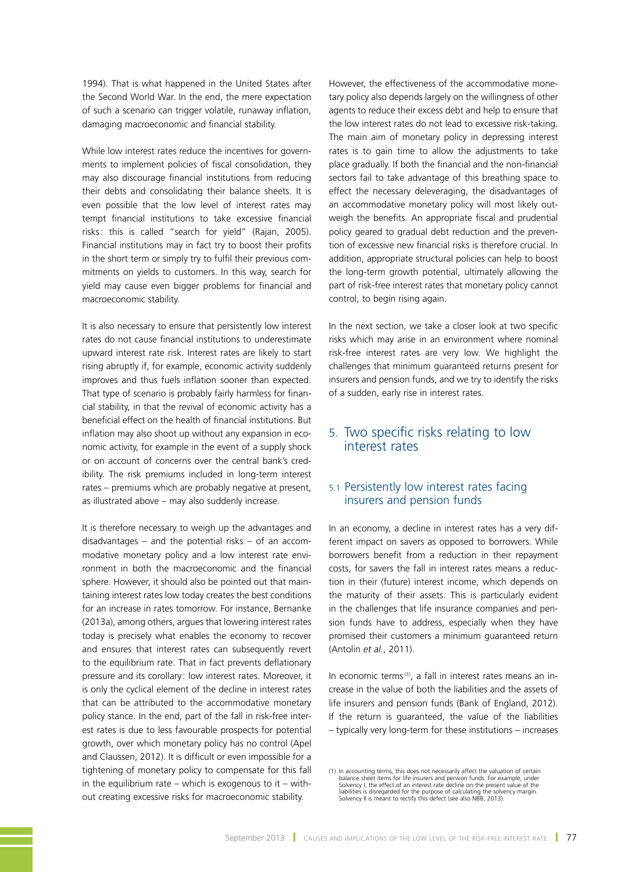1994). That is what happened in the United States after the Second World War. In the end, the mere expectation of such a scenario can trigger volatile, runaway inflation, damaging macroeconomic and financial stability.

While low interest rates reduce the incentives for governments to implement policies of fiscal consolidation, they may also discourage financial institutions from reducing their debts and consolidating their balance sheets. It is even possible that the low level of interest rates may tempt financial institutions to take excessive financial risks: this is called "search for yield" (Rajan, 2005). Financial institutions may in fact try to boost their profits in the short term or simply try to fulfil their previous commitments on yields to customers. In this way, search for yield may cause even bigger problems for financial and macroeconomic stability.

It is also necessary to ensure that persistently low interest rates do not cause financial institutions to underestimate upward interest rate risk. Interest rates are likely to start rising abruptly if, for example, economic activity suddenly improves and thus fuels inflation sooner than expected. That type of scenario is probably fairly harmless for financial stability, in that the revival of economic activity has a beneficial effect on the health of financial institutions. But inflation may also shoot up without any expansion in economic activity, for example in the event of a supply shock or on account of concerns over the central bank's credibility. The risk premiums included in long-term interest rates – premiums which are probably negative at present, as illustrated above – may also suddenly increase.

It is therefore necessary to weigh up the advantages and disadvantages – and the potential risks – of an accommodative monetary policy and a low interest rate environment in both the macroeconomic and the financial sphere. However, it should also be pointed out that maintaining interest rates low today creates the best conditions for an increase in rates tomorrow. For instance, Bernanke (2013a), among others, argues that lowering interest rates today is precisely what enables the economy to recover and ensures that interest rates can subsequently revert to the equilibrium rate. That in fact prevents deflationary pressure and its corollary : low interest rates. Moreover, it is only the cyclical element of the decline in interest rates that can be attributed to the accommodative monetary policy stance. In the end, part of the fall in risk-free interest rates is due to less favourable prospects for potential growth, over which monetary policy has no control (Apel and Claussen, 2012). It is difficult or even impossible for a tightening of monetary policy to compensate for this fall in the equilibrium rate – which is exogenous to it – without creating excessive risks for macroeconomic stability.

However, the effectiveness of the accommodative monetary policy also depends largely on the willingness of other agents to reduce their excess debt and help to ensure that the low interest rates do not lead to excessive risk-taking. The main aim of monetary policy in depressing interest rates is to gain time to allow the adjustments to take place gradually. If both the financial and the non-financial sectors fail to take advantage of this breathing space to effect the necessary deleveraging, the disadvantages of an accommodative monetary policy will most likely outweigh the benefits. An appropriate fiscal and prudential policy geared to gradual debt reduction and the prevention of excessive new financial risks is therefore crucial. In addition, appropriate structural policies can help to boost the long-term growth potential, ultimately allowing the part of risk-free interest rates that monetary policy cannot control, to begin rising again.

In the next section, we take a closer look at two specific risks which may arise in an environment where nominal risk-free interest rates are very low. We highlight the challenges that minimum guaranteed returns present for insurers and pension funds, and we try to identify the risks of a sudden, early rise in interest rates.

# 5. Two specific risks relating to low interest rates

# 5.1 Persistently low interest rates facing insurers and pension funds

In an economy, a decline in interest rates has a very different impact on savers as opposed to borrowers. While borrowers benefit from a reduction in their repayment costs, for savers the fall in interest rates means a reduction in their (future) interest income, which depends on the maturity of their assets. This is particularly evident in the challenges that life insurance companies and pension funds have to address, especially when they have promised their customers a minimum guaranteed return (Antolin *et al.*, 2011).

In economic terms<sup>(1)</sup>, a fall in interest rates means an increase in the value of both the liabilities and the assets of life insurers and pension funds (Bank of England, 2012). If the return is guaranteed, the value of the liabilities – typically very long-term for these institutions – increases

<sup>(1)</sup> In accounting terms, this does not necessarily affect the valuation of certain balance sheet items for life insurers and pension funds. For example, under<br>Solvency I, the effect of an interest rate decline on the present value of the<br>liabilities is disregarded for the purpose of calculating the solve Solvency II is meant to rectify this defect (see also NBB, 2013).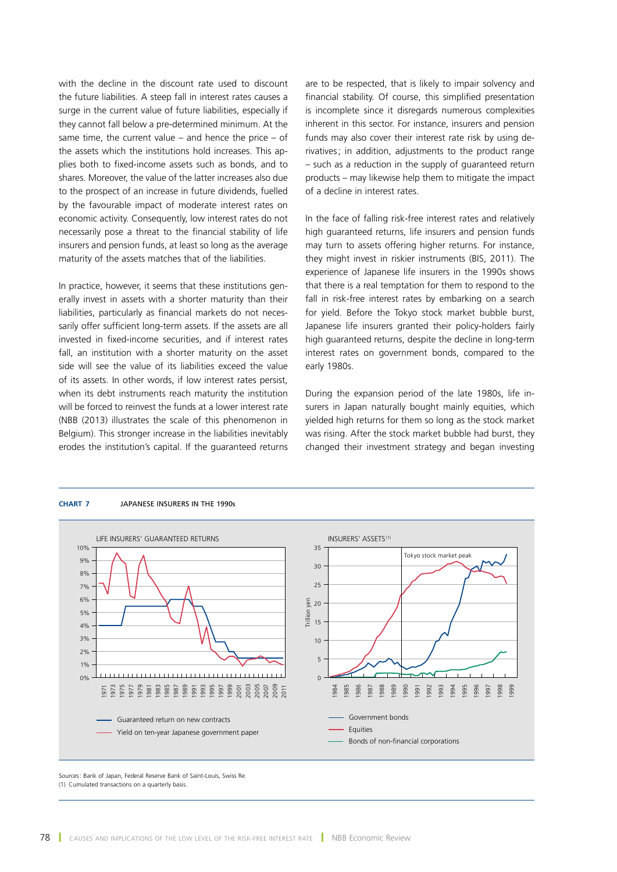with the decline in the discount rate used to discount the future liabilities. A steep fall in interest rates causes a surge in the current value of future liabilities, especially if they cannot fall below a pre-determined minimum. At the same time, the current value – and hence the price – of the assets which the institutions hold increases. This applies both to fixed-income assets such as bonds, and to shares. Moreover, the value of the latter increases also due to the prospect of an increase in future dividends, fuelled by the favourable impact of moderate interest rates on economic activity. Consequently, low interest rates do not necessarily pose a threat to the financial stability of life insurers and pension funds, at least so long as the average maturity of the assets matches that of the liabilities.

In practice, however, it seems that these institutions generally invest in assets with a shorter maturity than their liabilities, particularly as financial markets do not necessarily offer sufficient long-term assets. If the assets are all invested in fixed-income securities, and if interest rates fall, an institution with a shorter maturity on the asset side will see the value of its liabilities exceed the value of its assets. In other words, if low interest rates persist, when its debt instruments reach maturity the institution will be forced to reinvest the funds at a lower interest rate (NBB (2013) illustrates the scale of this phenomenon in Belgium). This stronger increase in the liabilities inevitably erodes the institution's capital. If the guaranteed returns are to be respected, that is likely to impair solvency and financial stability. Of course, this simplified presentation is incomplete since it disregards numerous complexities inherent in this sector. For instance, insurers and pension funds may also cover their interest rate risk by using derivatives; in addition, adjustments to the product range – such as a reduction in the supply of guaranteed return products – may likewise help them to mitigate the impact of a decline in interest rates.

In the face of falling risk-free interest rates and relatively high guaranteed returns, life insurers and pension funds may turn to assets offering higher returns. For instance, they might invest in riskier instruments (BIS, 2011). The experience of Japanese life insurers in the 1990s shows that there is a real temptation for them to respond to the fall in risk-free interest rates by embarking on a search for yield. Before the Tokyo stock market bubble burst, Japanese life insurers granted their policy-holders fairly high guaranteed returns, despite the decline in long-term interest rates on government bonds, compared to the early 1980s.

During the expansion period of the late 1980s, life insurers in Japan naturally bought mainly equities, which yielded high returns for them so long as the stock market was rising. After the stock market bubble had burst, they changed their investment strategy and began investing



#### **Chart 7** JAPANESE INSURERS IN THE 1990s

Sources: Bank of Japan, Federal Reserve Bank of Saint-Louis, Swiss Re. (1) Cumulated transactions on a quarterly basis.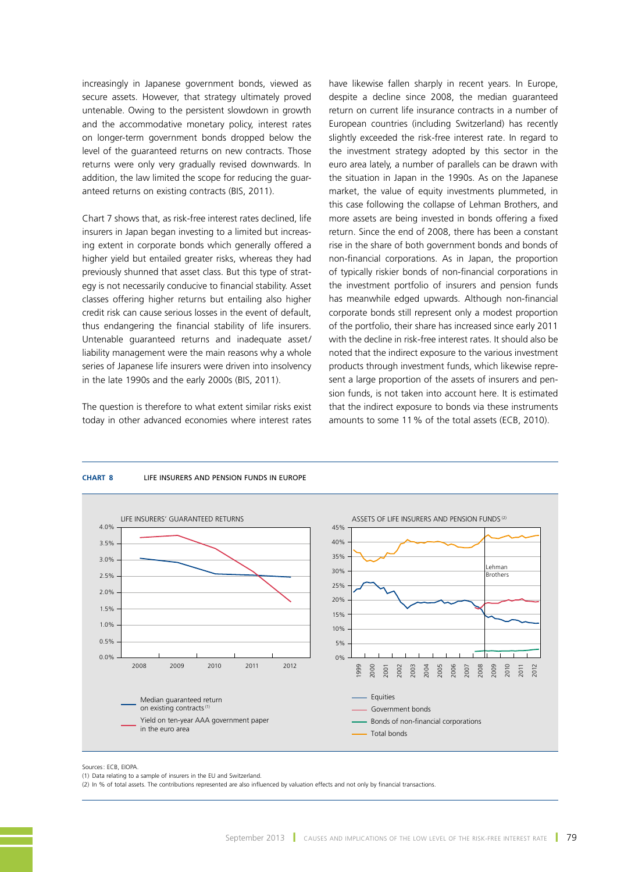increasingly in Japanese government bonds, viewed as secure assets. However, that strategy ultimately proved untenable. Owing to the persistent slowdown in growth and the accommodative monetary policy, interest rates on longer-term government bonds dropped below the level of the guaranteed returns on new contracts. Those returns were only very gradually revised downwards. In addition, the law limited the scope for reducing the guaranteed returns on existing contracts (BIS, 2011).

Chart 7 shows that, as risk-free interest rates declined, life insurers in Japan began investing to a limited but increasing extent in corporate bonds which generally offered a higher yield but entailed greater risks, whereas they had previously shunned that asset class. But this type of strategy is not necessarily conducive to financial stability. Asset classes offering higher returns but entailing also higher credit risk can cause serious losses in the event of default, thus endangering the financial stability of life insurers. Untenable guaranteed returns and inadequate asset/ liability management were the main reasons why a whole series of Japanese life insurers were driven into insolvency in the late 1990s and the early 2000s (BIS, 2011).

The question is therefore to what extent similar risks exist today in other advanced economies where interest rates

have likewise fallen sharply in recent years. In Europe, despite a decline since 2008, the median guaranteed return on current life insurance contracts in a number of European countries (including Switzerland) has recently slightly exceeded the risk-free interest rate. In regard to the investment strategy adopted by this sector in the euro area lately, a number of parallels can be drawn with the situation in Japan in the 1990s. As on the Japanese market, the value of equity investments plummeted, in this case following the collapse of Lehman Brothers, and more assets are being invested in bonds offering a fixed return. Since the end of 2008, there has been a constant rise in the share of both government bonds and bonds of non-financial corporations. As in Japan, the proportion of typically riskier bonds of non-financial corporations in the investment portfolio of insurers and pension funds has meanwhile edged upwards. Although non-financial corporate bonds still represent only a modest proportion of the portfolio, their share has increased since early 2011 with the decline in risk-free interest rates. It should also be noted that the indirect exposure to the various investment products through investment funds, which likewise represent a large proportion of the assets of insurers and pension funds, is not taken into account here. It is estimated that the indirect exposure to bonds via these instruments amounts to some 11% of the total assets (ECB, 2010).



#### **Chart 8** LIFE INSURERS AND PENSION FUNDS IN EUROPE

Sources: ECB, EIOPA

(2) In % of total assets. The contributions represented are also influenced by valuation effects and not only by financial transactions.

<sup>(1)</sup> Data relating to a sample of insurers in the EU and Switzerland.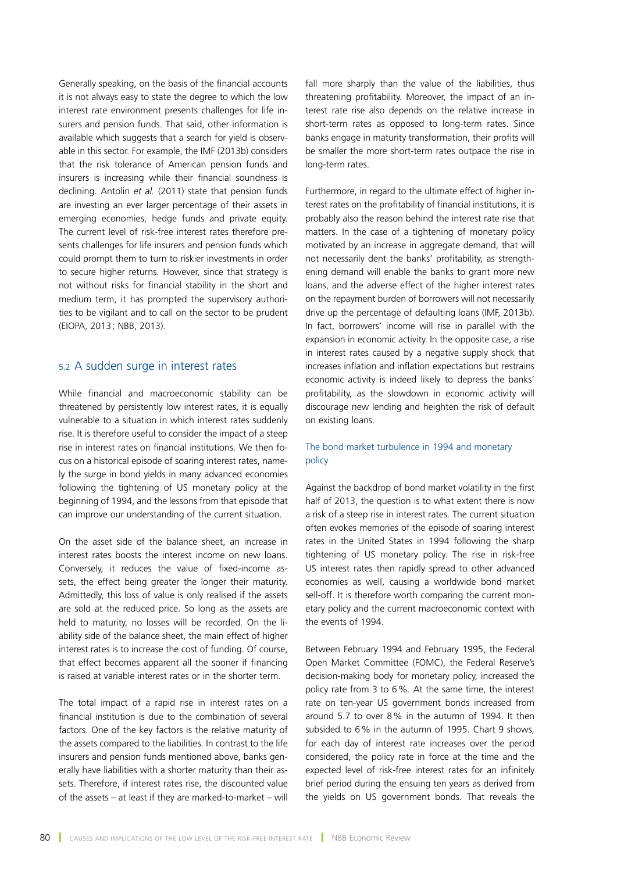Generally speaking, on the basis of the financial accounts it is not always easy to state the degree to which the low interest rate environment presents challenges for life insurers and pension funds. That said, other information is available which suggests that a search for yield is observable in this sector. For example, the IMF (2013b) considers that the risk tolerance of American pension funds and insurers is increasing while their financial soundness is declining. Antolin *et al.* (2011) state that pension funds are investing an ever larger percentage of their assets in emerging economies, hedge funds and private equity. The current level of risk-free interest rates therefore presents challenges for life insurers and pension funds which could prompt them to turn to riskier investments in order to secure higher returns. However, since that strategy is not without risks for financial stability in the short and medium term, it has prompted the supervisory authorities to be vigilant and to call on the sector to be prudent (EIOPA, 2013; NBB, 2013).

## 5.2 A sudden surge in interest rates

While financial and macroeconomic stability can be threatened by persistently low interest rates, it is equally vulnerable to a situation in which interest rates suddenly rise. It is therefore useful to consider the impact of a steep rise in interest rates on financial institutions. We then focus on a historical episode of soaring interest rates, namely the surge in bond yields in many advanced economies following the tightening of US monetary policy at the beginning of 1994, and the lessons from that episode that can improve our understanding of the current situation.

On the asset side of the balance sheet, an increase in interest rates boosts the interest income on new loans. Conversely, it reduces the value of fixed-income assets, the effect being greater the longer their maturity. Admittedly, this loss of value is only realised if the assets are sold at the reduced price. So long as the assets are held to maturity, no losses will be recorded. On the liability side of the balance sheet, the main effect of higher interest rates is to increase the cost of funding. Of course, that effect becomes apparent all the sooner if financing is raised at variable interest rates or in the shorter term.

The total impact of a rapid rise in interest rates on a financial institution is due to the combination of several factors. One of the key factors is the relative maturity of the assets compared to the liabilities. In contrast to the life insurers and pension funds mentioned above, banks generally have liabilities with a shorter maturity than their assets. Therefore, if interest rates rise, the discounted value of the assets – at least if they are marked-to-market – will fall more sharply than the value of the liabilities, thus threatening profitability. Moreover, the impact of an interest rate rise also depends on the relative increase in short-term rates as opposed to long-term rates. Since banks engage in maturity transformation, their profits will be smaller the more short-term rates outpace the rise in long-term rates.

Furthermore, in regard to the ultimate effect of higher interest rates on the profitability of financial institutions, it is probably also the reason behind the interest rate rise that matters. In the case of a tightening of monetary policy motivated by an increase in aggregate demand, that will not necessarily dent the banks' profitability, as strengthening demand will enable the banks to grant more new loans, and the adverse effect of the higher interest rates on the repayment burden of borrowers will not necessarily drive up the percentage of defaulting loans (IMF, 2013b). In fact, borrowers' income will rise in parallel with the expansion in economic activity. In the opposite case, a rise in interest rates caused by a negative supply shock that increases inflation and inflation expectations but restrains economic activity is indeed likely to depress the banks' profitability, as the slowdown in economic activity will discourage new lending and heighten the risk of default on existing loans.

### The bond market turbulence in 1994 and monetary policy

Against the backdrop of bond market volatility in the first half of 2013, the question is to what extent there is now a risk of a steep rise in interest rates. The current situation often evokes memories of the episode of soaring interest rates in the United States in 1994 following the sharp tightening of US monetary policy. The rise in risk-free US interest rates then rapidly spread to other advanced economies as well, causing a worldwide bond market sell-off. It is therefore worth comparing the current monetary policy and the current macroeconomic context with the events of 1994.

Between February 1994 and February 1995, the Federal Open Market Committee (FOMC), the Federal Reserve's decision-making body for monetary policy, increased the policy rate from 3 to 6%. At the same time, the interest rate on ten-year US government bonds increased from around 5.7 to over 8% in the autumn of 1994. It then subsided to 6% in the autumn of 1995. Chart 9 shows, for each day of interest rate increases over the period considered, the policy rate in force at the time and the expected level of risk-free interest rates for an infinitely brief period during the ensuing ten years as derived from the yields on US government bonds. That reveals the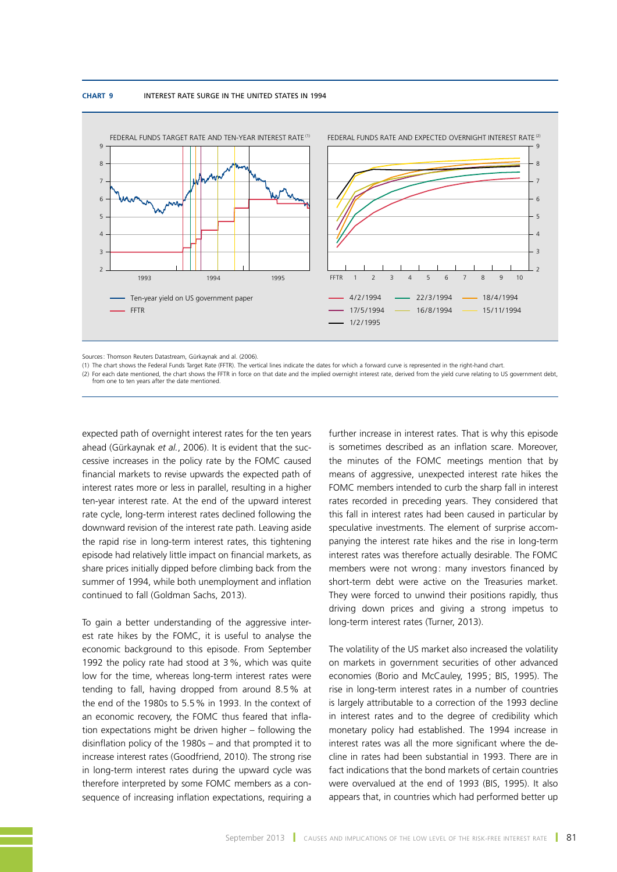#### **Chart 9** INTEREST RATE SURGE IN THE UNITED STATES IN 1994



Sources: Thomson Reuters Datastream, Gürkaynak and al. (2006).

(1) The chart shows the Federal Funds Target Rate (FFTR). The vertical lines indicate the dates for which a forward curve is represented in the right-hand chart.

(2) For each date mentioned, the chart shows the FFTR in force on that date and the implied overnight interest rate, derived from the yield curve relating to US government debt, from one to ten years after the date mentioned.

expected path of overnight interest rates for the ten years ahead (Gürkaynak *et al.*, 2006). It is evident that the successive increases in the policy rate by the FOMC caused financial markets to revise upwards the expected path of interest rates more or less in parallel, resulting in a higher ten-year interest rate. At the end of the upward interest rate cycle, long-term interest rates declined following the downward revision of the interest rate path. Leaving aside the rapid rise in long-term interest rates, this tightening episode had relatively little impact on financial markets, as share prices initially dipped before climbing back from the summer of 1994, while both unemployment and inflation continued to fall (Goldman Sachs, 2013).

To gain a better understanding of the aggressive interest rate hikes by the FOMC, it is useful to analyse the economic background to this episode. From September 1992 the policy rate had stood at 3%, which was quite low for the time, whereas long-term interest rates were tending to fall, having dropped from around 8.5% at the end of the 1980s to 5.5% in 1993. In the context of an economic recovery, the FOMC thus feared that inflation expectations might be driven higher – following the disinflation policy of the 1980s – and that prompted it to increase interest rates (Goodfriend, 2010). The strong rise in long-term interest rates during the upward cycle was therefore interpreted by some FOMC members as a consequence of increasing inflation expectations, requiring a

further increase in interest rates. That is why this episode is sometimes described as an inflation scare. Moreover, the minutes of the FOMC meetings mention that by means of aggressive, unexpected interest rate hikes the FOMC members intended to curb the sharp fall in interest rates recorded in preceding years. They considered that this fall in interest rates had been caused in particular by speculative investments. The element of surprise accompanying the interest rate hikes and the rise in long-term interest rates was therefore actually desirable. The FOMC members were not wrong: many investors financed by short-term debt were active on the Treasuries market. They were forced to unwind their positions rapidly, thus driving down prices and giving a strong impetus to long-term interest rates (Turner, 2013).

The volatility of the US market also increased the volatility on markets in government securities of other advanced economies (Borio and McCauley, 1995; BIS, 1995). The rise in long-term interest rates in a number of countries is largely attributable to a correction of the 1993 decline in interest rates and to the degree of credibility which monetary policy had established. The 1994 increase in interest rates was all the more significant where the decline in rates had been substantial in 1993. There are in fact indications that the bond markets of certain countries were overvalued at the end of 1993 (BIS, 1995). It also appears that, in countries which had performed better up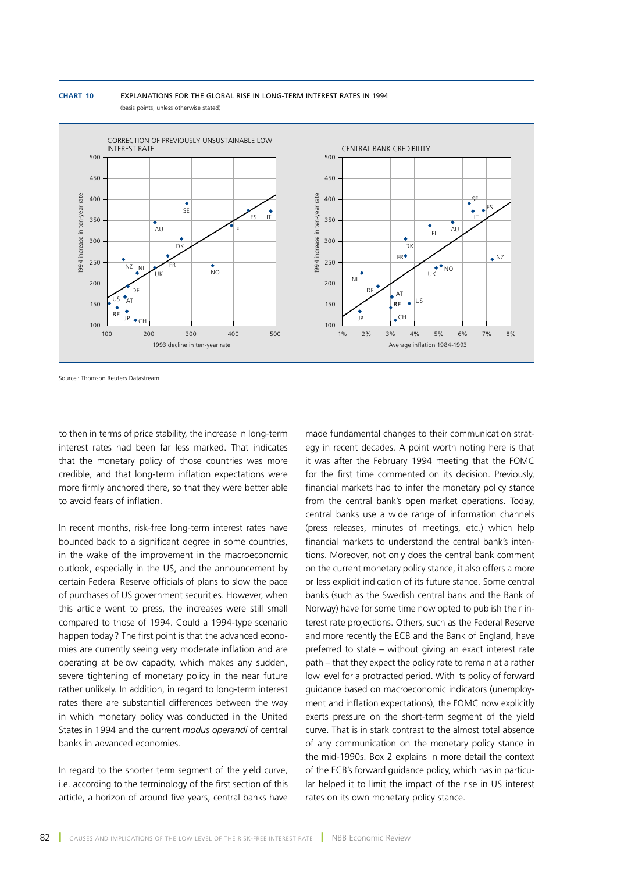



(basis points, unless otherwise stated)

Source: Thomson Reuters Datastream.

to then in terms of price stability, the increase in long-term interest rates had been far less marked. That indicates that the monetary policy of those countries was more credible, and that long-term inflation expectations were more firmly anchored there, so that they were better able to avoid fears of inflation.

In recent months, risk-free long-term interest rates have bounced back to a significant degree in some countries, in the wake of the improvement in the macroeconomic outlook, especially in the US, and the announcement by certain Federal Reserve officials of plans to slow the pace of purchases of US government securities. However, when this article went to press, the increases were still small compared to those of 1994. Could a 1994-type scenario happen today ? The first point is that the advanced economies are currently seeing very moderate inflation and are operating at below capacity, which makes any sudden, severe tightening of monetary policy in the near future rather unlikely. In addition, in regard to long-term interest rates there are substantial differences between the way in which monetary policy was conducted in the United States in 1994 and the current *modus operandi* of central banks in advanced economies.

In regard to the shorter term segment of the yield curve, i.e. according to the terminology of the first section of this article, a horizon of around five years, central banks have

made fundamental changes to their communication strategy in recent decades. A point worth noting here is that it was after the February 1994 meeting that the FOMC for the first time commented on its decision. Previously, financial markets had to infer the monetary policy stance from the central bank's open market operations. Today, central banks use a wide range of information channels (press releases, minutes of meetings, etc.) which help financial markets to understand the central bank's intentions. Moreover, not only does the central bank comment on the current monetary policy stance, it also offers a more or less explicit indication of its future stance. Some central banks (such as the Swedish central bank and the Bank of Norway) have for some time now opted to publish their interest rate projections. Others, such as the Federal Reserve and more recently the ECB and the Bank of England, have preferred to state – without giving an exact interest rate path – that they expect the policy rate to remain at a rather low level for a protracted period. With its policy of forward guidance based on macroeconomic indicators (unemployment and inflation expectations), the FOMC now explicitly exerts pressure on the short-term segment of the yield curve. That is in stark contrast to the almost total absence of any communication on the monetary policy stance in the mid-1990s. Box 2 explains in more detail the context of the ECB's forward guidance policy, which has in particular helped it to limit the impact of the rise in US interest rates on its own monetary policy stance.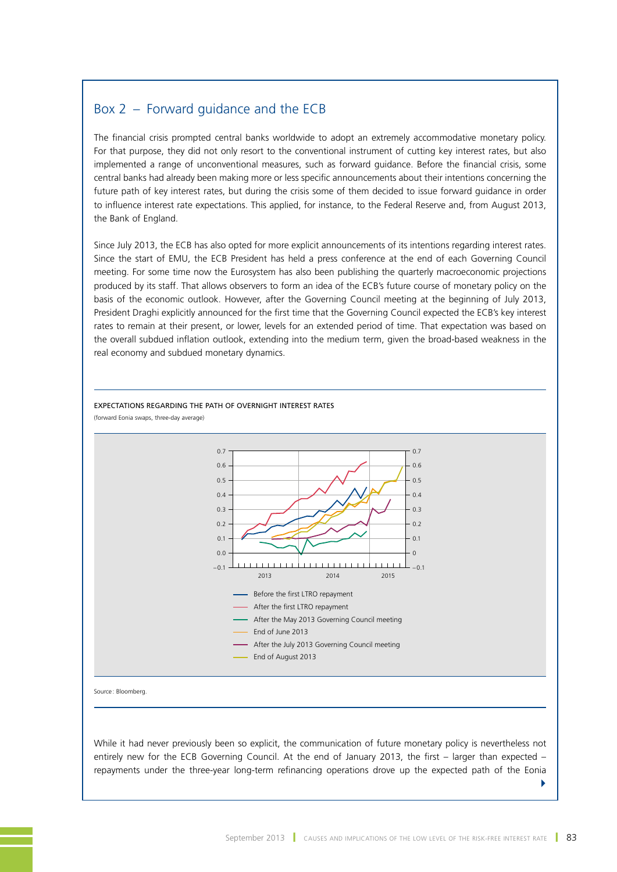# Box 2 – Forward guidance and the ECB

The financial crisis prompted central banks worldwide to adopt an extremely accommodative monetary policy. For that purpose, they did not only resort to the conventional instrument of cutting key interest rates, but also implemented a range of unconventional measures, such as forward guidance. Before the financial crisis, some central banks had already been making more or less specific announcements about their intentions concerning the future path of key interest rates, but during the crisis some of them decided to issue forward guidance in order to influence interest rate expectations. This applied, for instance, to the Federal Reserve and, from August 2013, the Bank of England.

Since July 2013, the ECB has also opted for more explicit announcements of its intentions regarding interest rates. Since the start of EMU, the ECB President has held a press conference at the end of each Governing Council meeting. For some time now the Eurosystem has also been publishing the quarterly macroeconomic projections produced by its staff. That allows observers to form an idea of the ECB's future course of monetary policy on the basis of the economic outlook. However, after the Governing Council meeting at the beginning of July 2013, President Draghi explicitly announced for the first time that the Governing Council expected the ECB's key interest rates to remain at their present, or lower, levels for an extended period of time. That expectation was based on the overall subdued inflation outlook, extending into the medium term, given the broad-based weakness in the real economy and subdued monetary dynamics.



EXPECTATIONS REGARDING THE PATH OF OVERNIGHT INTEREST RATES (forward Eonia swaps, three-day average)

Source : Bloomberg.

While it had never previously been so explicit, the communication of future monetary policy is nevertheless not entirely new for the ECB Governing Council. At the end of January 2013, the first – larger than expected – repayments under the three-year long-term refinancing operations drove up the expected path of the Eonia

4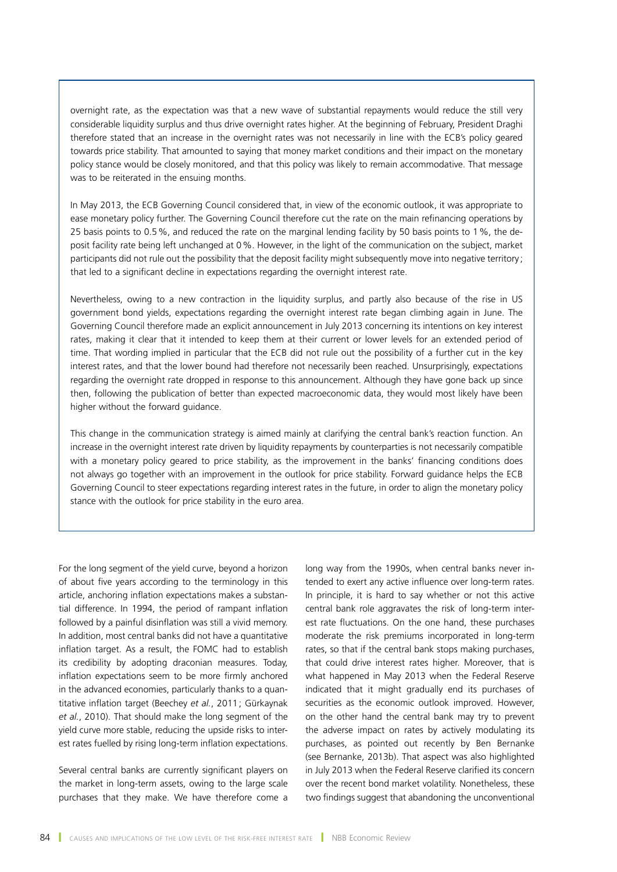overnight rate, as the expectation was that a new wave of substantial repayments would reduce the still very considerable liquidity surplus and thus drive overnight rates higher. At the beginning of February, President Draghi therefore stated that an increase in the overnight rates was not necessarily in line with the ECB's policy geared towards price stability. That amounted to saying that money market conditions and their impact on the monetary policy stance would be closely monitored, and that this policy was likely to remain accommodative. That message was to be reiterated in the ensuing months.

In May 2013, the ECB Governing Council considered that, in view of the economic outlook, it was appropriate to ease monetary policy further. The Governing Council therefore cut the rate on the main refinancing operations by 25 basis points to 0.5%, and reduced the rate on the marginal lending facility by 50 basis points to 1%, the deposit facility rate being left unchanged at 0%. However, in the light of the communication on the subject, market participants did not rule out the possibility that the deposit facility might subsequently move into negative territory: that led to a significant decline in expectations regarding the overnight interest rate.

Nevertheless, owing to a new contraction in the liquidity surplus, and partly also because of the rise in US government bond yields, expectations regarding the overnight interest rate began climbing again in June. The Governing Council therefore made an explicit announcement in July 2013 concerning its intentions on key interest rates, making it clear that it intended to keep them at their current or lower levels for an extended period of time. That wording implied in particular that the ECB did not rule out the possibility of a further cut in the key interest rates, and that the lower bound had therefore not necessarily been reached. Unsurprisingly, expectations regarding the overnight rate dropped in response to this announcement. Although they have gone back up since then, following the publication of better than expected macroeconomic data, they would most likely have been higher without the forward guidance.

This change in the communication strategy is aimed mainly at clarifying the central bank's reaction function. An increase in the overnight interest rate driven by liquidity repayments by counterparties is not necessarily compatible with a monetary policy geared to price stability, as the improvement in the banks' financing conditions does not always go together with an improvement in the outlook for price stability. Forward guidance helps the ECB Governing Council to steer expectations regarding interest rates in the future, in order to align the monetary policy stance with the outlook for price stability in the euro area.

For the long segment of the yield curve, beyond a horizon of about five years according to the terminology in this article, anchoring inflation expectations makes a substantial difference. In 1994, the period of rampant inflation followed by a painful disinflation was still a vivid memory. In addition, most central banks did not have a quantitative inflation target. As a result, the FOMC had to establish its credibility by adopting draconian measures. Today, inflation expectations seem to be more firmly anchored in the advanced economies, particularly thanks to a quantitative inflation target (Beechey *et al.*, 2011; Gürkaynak *et al.*, 2010). That should make the long segment of the yield curve more stable, reducing the upside risks to interest rates fuelled by rising long-term inflation expectations.

Several central banks are currently significant players on the market in long-term assets, owing to the large scale purchases that they make. We have therefore come a long way from the 1990s, when central banks never intended to exert any active influence over long-term rates. In principle, it is hard to say whether or not this active central bank role aggravates the risk of long-term interest rate fluctuations. On the one hand, these purchases moderate the risk premiums incorporated in long-term rates, so that if the central bank stops making purchases, that could drive interest rates higher. Moreover, that is what happened in May 2013 when the Federal Reserve indicated that it might gradually end its purchases of securities as the economic outlook improved. However, on the other hand the central bank may try to prevent the adverse impact on rates by actively modulating its purchases, as pointed out recently by Ben Bernanke (see Bernanke, 2013b). That aspect was also highlighted in July 2013 when the Federal Reserve clarified its concern over the recent bond market volatility. Nonetheless, these two findings suggest that abandoning the unconventional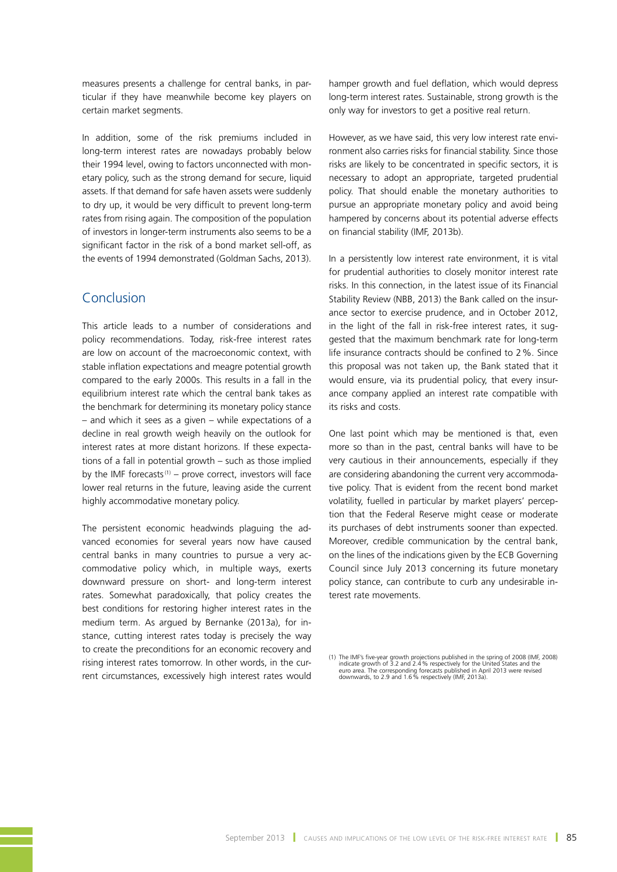measures presents a challenge for central banks, in particular if they have meanwhile become key players on certain market segments.

In addition, some of the risk premiums included in long-term interest rates are nowadays probably below their 1994 level, owing to factors unconnected with monetary policy, such as the strong demand for secure, liquid assets. If that demand for safe haven assets were suddenly to dry up, it would be very difficult to prevent long-term rates from rising again. The composition of the population of investors in longer-term instruments also seems to be a significant factor in the risk of a bond market sell-off, as the events of 1994 demonstrated (Goldman Sachs, 2013).

# Conclusion

This article leads to a number of considerations and policy recommendations. Today, risk-free interest rates are low on account of the macroeconomic context, with stable inflation expectations and meagre potential growth compared to the early 2000s. This results in a fall in the equilibrium interest rate which the central bank takes as the benchmark for determining its monetary policy stance – and which it sees as a given – while expectations of a decline in real growth weigh heavily on the outlook for interest rates at more distant horizons. If these expectations of a fall in potential growth – such as those implied by the IMF forecasts<sup>(1)</sup> – prove correct, investors will face lower real returns in the future, leaving aside the current highly accommodative monetary policy.

The persistent economic headwinds plaguing the advanced economies for several years now have caused central banks in many countries to pursue a very accommodative policy which, in multiple ways, exerts downward pressure on short- and long-term interest rates. Somewhat paradoxically, that policy creates the best conditions for restoring higher interest rates in the medium term. As argued by Bernanke (2013a), for instance, cutting interest rates today is precisely the way to create the preconditions for an economic recovery and rising interest rates tomorrow. In other words, in the current circumstances, excessively high interest rates would

hamper growth and fuel deflation, which would depress long-term interest rates. Sustainable, strong growth is the only way for investors to get a positive real return.

However, as we have said, this very low interest rate environment also carries risks for financial stability. Since those risks are likely to be concentrated in specific sectors, it is necessary to adopt an appropriate, targeted prudential policy. That should enable the monetary authorities to pursue an appropriate monetary policy and avoid being hampered by concerns about its potential adverse effects on financial stability (IMF, 2013b).

In a persistently low interest rate environment, it is vital for prudential authorities to closely monitor interest rate risks. In this connection, in the latest issue of its Financial Stability Review (NBB, 2013) the Bank called on the insurance sector to exercise prudence, and in October 2012, in the light of the fall in risk-free interest rates, it suggested that the maximum benchmark rate for long-term life insurance contracts should be confined to 2%. Since this proposal was not taken up, the Bank stated that it would ensure, via its prudential policy, that every insurance company applied an interest rate compatible with its risks and costs.

One last point which may be mentioned is that, even more so than in the past, central banks will have to be very cautious in their announcements, especially if they are considering abandoning the current very accommodative policy. That is evident from the recent bond market volatility, fuelled in particular by market players' perception that the Federal Reserve might cease or moderate its purchases of debt instruments sooner than expected. Moreover, credible communication by the central bank, on the lines of the indications given by the ECB Governing Council since July 2013 concerning its future monetary policy stance, can contribute to curb any undesirable interest rate movements.

<sup>(1)</sup> The IMF's five-year growth projections published in the spring of 2008 (IMF, 2008) indicate growth of 3.2 and 2.4 % respectively for the United States and the euro area. The corresponding forecasts published in April 2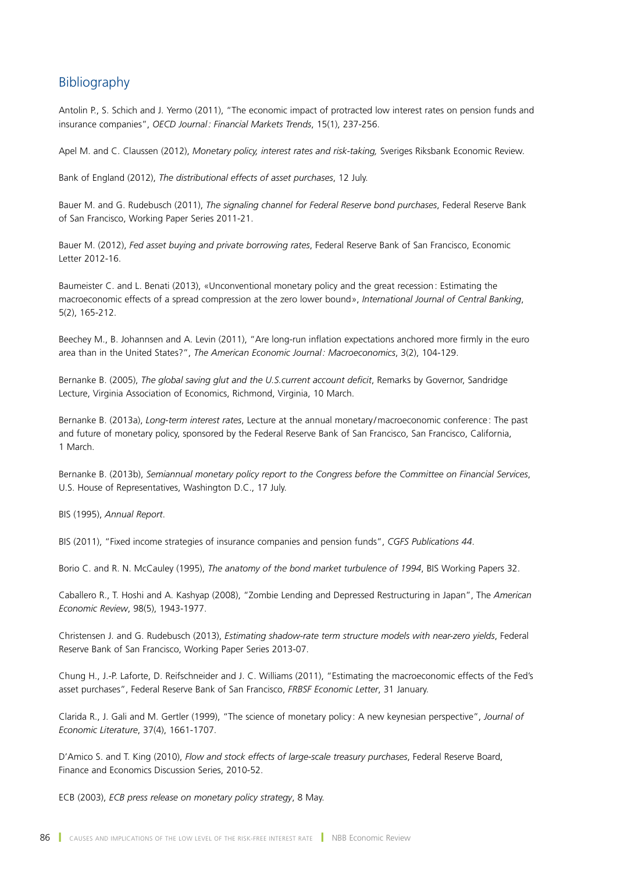# Bibliography

Antolin P., S. Schich and J. Yermo (2011), "The economic impact of protracted low interest rates on pension funds and insurance companies", *OECD Journal: Financial Markets Trends*, 15(1), 237-256.

Apel M. and C. Claussen (2012), *Monetary policy, interest rates and risk-taking,* Sveriges Riksbank Economic Review.

Bank of England (2012), *The distributional effects of asset purchases*, 12 July.

Bauer M. and G. Rudebusch (2011), *The signaling channel for Federal Reserve bond purchases*, Federal Reserve Bank of San Francisco, Working Paper Series 2011-21.

Bauer M. (2012), *Fed asset buying and private borrowing rates*, Federal Reserve Bank of San Francisco, Economic Letter 2012-16.

Baumeister C. and L. Benati (2013), «Unconventional monetary policy and the great recession: Estimating the macroeconomic effects of a spread compression at the zero lower bound», *International Journal of Central Banking*, 5(2), 165-212.

Beechey M., B. Johannsen and A. Levin (2011), "Are long-run inflation expectations anchored more firmly in the euro area than in the United States?", *The American Economic Journal: Macroeconomics*, 3(2), 104-129.

Bernanke B. (2005), *The global saving glut and the U.S.current account deficit*, Remarks by Governor, Sandridge Lecture, Virginia Association of Economics, Richmond, Virginia, 10 March.

Bernanke B. (2013a), *Long-term interest rates*, Lecture at the annual monetary /macroeconomic conference: The past and future of monetary policy, sponsored by the Federal Reserve Bank of San Francisco, San Francisco, California, 1 March.

Bernanke B. (2013b), *Semiannual monetary policy report to the Congress before the Committee on Financial Services*, U.S. House of Representatives, Washington D.C., 17 July.

BIS (1995), *Annual Report*.

BIS (2011), "Fixed income strategies of insurance companies and pension funds", *CGFS Publications 44*.

Borio C. and R. N. McCauley (1995), *The anatomy of the bond market turbulence of 1994*, BIS Working Papers 32.

Caballero R., T. Hoshi and A. Kashyap (2008), "Zombie Lending and Depressed Restructuring in Japan", The *American Economic Review*, 98(5), 1943-1977.

Christensen J. and G. Rudebusch (2013), *Estimating shadow-rate term structure models with near-zero yields*, Federal Reserve Bank of San Francisco, Working Paper Series 2013-07.

Chung H., J.-P. Laforte, D. Reifschneider and J. C. Williams (2011), "Estimating the macroeconomic effects of the Fed's asset purchases", Federal Reserve Bank of San Francisco, *FRBSF Economic Letter*, 31 January.

Clarida R., J. Gali and M. Gertler (1999), "The science of monetary policy : A new keynesian perspective", *Journal of Economic Literature*, 37(4), 1661-1707.

D'Amico S. and T. King (2010), *Flow and stock effects of large-scale treasury purchases*, Federal Reserve Board, Finance and Economics Discussion Series, 2010-52.

ECB (2003), *ECB press release on monetary policy strategy*, 8 May.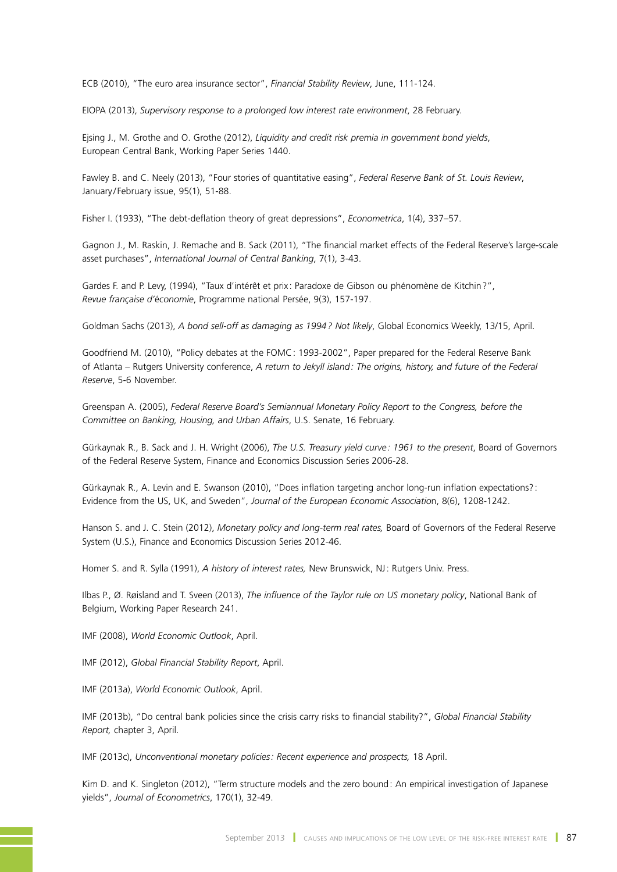ECB (2010), "The euro area insurance sector", *Financial Stability Review*, June, 111-124.

EIOPA (2013), *Supervisory response to a prolonged low interest rate environment*, 28 February.

Ejsing J., M. Grothe and O. Grothe (2012), *Liquidity and credit risk premia in government bond yields*, European Central Bank, Working Paper Series 1440.

Fawley B. and C. Neely (2013), "Four stories of quantitative easing", *Federal Reserve Bank of St. Louis Review*, January/February issue, 95(1), 51-88.

Fisher I. (1933), "The debt-deflation theory of great depressions", *Econometrica*, 1(4), 337–57.

Gagnon J., M. Raskin, J. Remache and B. Sack (2011), "The financial market effects of the Federal Reserve's large-scale asset purchases", *International Journal of Central Banking*, 7(1), 3-43.

Gardes F. and P. Levy, (1994), "Taux d'intérêt et prix: Paradoxe de Gibson ou phénomène de Kitchin?", *Revue française d'*é*conomie*, Programme national Persée, 9(3), 157-197.

Goldman Sachs (2013), *A bond sell-off as damaging as 1994? Not likely*, Global Economics Weekly, 13/15, April.

Goodfriend M. (2010), "Policy debates at the FOMC: 1993-2002", Paper prepared for the Federal Reserve Bank of Atlanta – Rutgers University conference, *A return to Jekyll island: The origins, history, and future of the Federal Reserve*, 5-6 November.

Greenspan A. (2005), *Federal Reserve Board's Semiannual Monetary Policy Report to the Congress, before the Committee on Banking, Housing, and Urban Affairs*, U.S. Senate, 16 February.

Gürkaynak R., B. Sack and J. H. Wright (2006), *The U.S. Treasury yield curve: 1961 to the present*, Board of Governors of the Federal Reserve System, Finance and Economics Discussion Series 2006-28.

Gürkaynak R., A. Levin and E. Swanson (2010), "Does inflation targeting anchor long-run inflation expectations?: Evidence from the US, UK, and Sweden", *Journal of the European Economic Associatio*n, 8(6), 1208-1242.

Hanson S. and J. C. Stein (2012), *Monetary policy and long-term real rates,* Board of Governors of the Federal Reserve System (U.S.), Finance and Economics Discussion Series 2012-46.

Homer S. and R. Sylla (1991), *A history of interest rates,* New Brunswick, NJ: Rutgers Univ. Press.

Ilbas P., Ø. Røisland and T. Sveen (2013), *The influence of the Taylor rule on US monetary policy*, National Bank of Belgium, Working Paper Research 241.

IMF (2008), *World Economic Outlook*, April.

IMF (2012), *Global Financial Stability Report*, April.

IMF (2013a), *World Economic Outlook*, April.

IMF (2013b), "Do central bank policies since the crisis carry risks to financial stability?", *Global Financial Stability Report,* chapter 3, April.

IMF (2013c), *Unconventional monetary policies: Recent experience and prospects,* 18 April.

Kim D. and K. Singleton (2012), "Term structure models and the zero bound: An empirical investigation of Japanese yields", *Journal of Econometrics*, 170(1), 32-49.